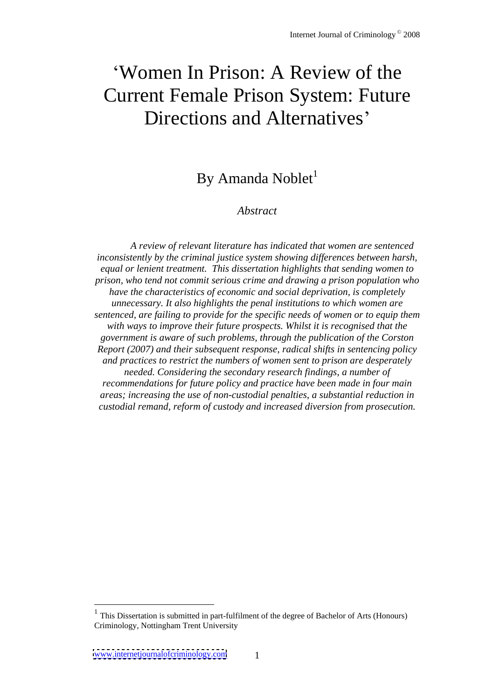# Women In Prison: A Review of the Current Female Prison System: Future Directions and Alternatives

## By Amanda Noblet<sup>1</sup>

#### *Abstract*

*A review of relevant literature has indicated that women are sentenced inconsistently by the criminal justice system showing dif erences between harsh, equal or lenient treatment. This dissertation highlights that sending women to prison, who tend not commit serious crime and drawing a prison population who have the characteristics of economic and social deprivation, is completely unnecessary. It also highlights the penal institutions to which women are sentenced, are failing to provide for the specificneeds of women or to equip them with ways to improve their future prospects. Whilst it is recognised that the government is aware of such problems, through the publication of the Corston Report (2007) and their subsequent response, radical shifts in sentencing policy and practices to restrict the numbers of women sent to prison are desperately needed. Considering the secondary research findings, a number of recommendations for future policy and practice have been made in four main areas; increasing the use of non-custodial penalties, a substantial reduction in custodial remand, reform of custody and increased diversion from prosecution.*

<sup>1</sup> This Dissertation is submitted in part-fulfilment of the degree of Bachelor of Arts (Honours) Criminology, Nottingham Trent University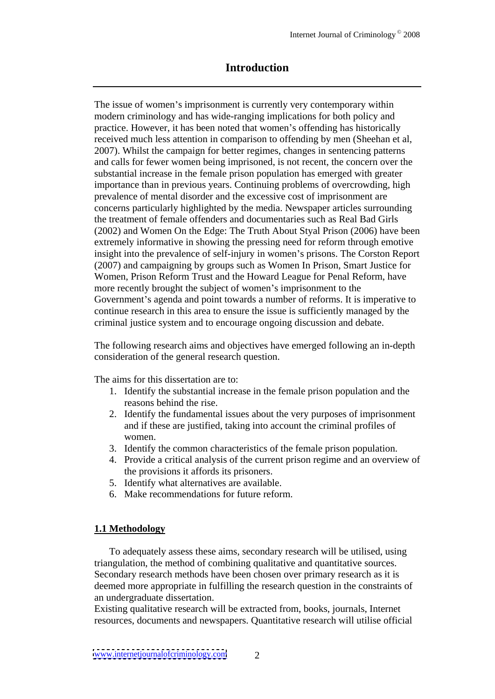## **Introduction**

The issue of women's imprisonment is currently very contemporary within modern criminology and has wide-ranging implications for both policy and practice. However, it has been noted that women's offending has historically received much less attention in comparison to offending by men (Sheehan et al, 2007). Whilst the campaign for better regimes, changes in sentencing patterns and calls for fewer women being imprisoned, is not recent, the concern over the substantial increase in the female prison population has emerged with greater importance than in previous years. Continuing problems of overcrowding, high prevalence of mental disorder and the excessive cost of imprisonment are concerns particularly highlighted by the media. Newspaper articles surrounding the treatment of female offenders and documentaries such as Real Bad Girls (2002) and Women On the Edge: The Truth About Styal Prison (2006) have been extremely informative in showing the pressing need for reform through emotive insight into the prevalence of self-injury in women's prisons. The Corston Report (2007) and campaigning by groups such as Women In Prison, Smart Justice for Women, Prison Reform Trust and the Howard League for Penal Reform, have more recently brought the subject of women's imprisonment to the Government's agenda and point towards a number of reforms. It is imperative to continue research in this area to ensure the issue is sufficiently managed by the criminal justice system and to encourage ongoing discussion and debate.

The following research aims and objectives have emerged following an in-depth consideration of the general research question.

The aims for this dissertation are to:

- 1. Identify the substantial increase in the female prison population and the reasons behind the rise.
- 2. Identify the fundamental issues about the very purposes of imprisonment and if these are justified, taking into account the criminal profiles of women.
- 3. Identify the common characteristics of the female prison population.
- 4. Provide a critical analysis of the current prison regime and an overview of the provisions it affords its prisoners.
- 5. Identify what alternatives are available.
- 6. Make recommendations for future reform.

#### **1.1 Methodology**

To adequately assess these aims, secondary research will be utilised, using triangulation, the method of combining qualitative and quantitative sources. Secondary research methods have been chosen over primary research as it is deemed more appropriate in fulfilling the research question in the constraints of an undergraduate dissertation.

Existing qualitative research will be extracted from, books, journals, Internet resources, documents and newspapers. Quantitative research will utilise official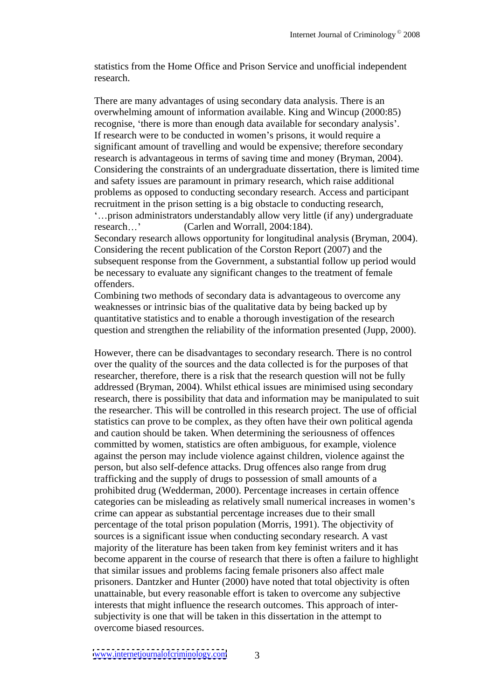statistics from the Home Office and Prison Service and unofficial independent research. **Executive Search** and the search of the search of the search of the search of the search of the search of the search of the search of the search of the search of the search of the search of the search of the sea

There are many advantages of using secondary data analysis. There is an overwhelming amount of information available. King and Wincup (2000:85) recognise, 'there is more than enough data available for secondary analysis'. If research were to be conducted in women's prisons, it would require a significant amount of travelling and would be expensive; therefore secondary research is advantageous in terms of saving time and money (Bryman, 2004). Considering the constraints of an undergraduate dissertation, there is limited time and safety issues are paramount in primary research, which raise additional problems as opposed to conducting secondary research. Access and participant recruitment in the prison setting is a big obstacle to conducting research, prison administrators understandably allow very little (if any) undergraduate research...' (Carlen and Worrall, 2004:184). Secondary research allows opportunity for longitudinal analysis (Bryman, 2004). Considering the recent publication of the Corston Report (2007) and the subsequent response from the Government, a substantial follow up period would be necessary to evaluate any significant changes to the treatment of female offenders.

Combining two methods of secondary data is advantageous to overcome any weaknesses or intrinsic bias of the qualitative data by being backed up by quantitative statistics and to enable a thorough investigation of the research question and strengthen the reliability of the information presented (Jupp, 2000).

However, there can be disadvantages to secondary research. There is no control over the quality of the sources and the data collected is for the purposes of that researcher, therefore, there is a risk that the research question will not be fully addressed (Bryman, 2004). Whilst ethical issues are minimised using secondary research, there is possibility that data and information may be manipulated to suit the researcher. This will be controlled in this research project. The use of official statistics can prove to be complex, as they often have their own political agenda and caution should be taken. When determining the seriousness of offences committed by women, statistics are often ambiguous, for example, violence against the person may include violence against children, violence against the person, but also self-defence attacks. Drug offences also range from drug trafficking and the supply of drugs to possession of small amounts of a prohibited drug (Wedderman, 2000). Percentage increases in certain offence categories can be misleading as relatively small numerical increases in women's crime can appear as substantial percentage increases due to their small percentage of the total prison population (Morris, 1991). The objectivity of sources is a significant issue when conducting secondary research.A vast majority of the literature has been taken from key feminist writers and it has become apparent in the course of research that there is often a failure to highlight that similar issues and problems facing female prisoners also affect male prisoners. Dantzker and Hunter (2000) have noted that total objectivity is often unattainable, but every reasonable effort is taken to overcome any subjective interests that might influence the research outcomes. This approach of inter-subjectivity is one that will be taken in this dissertation in the attempt to overcome biased resources.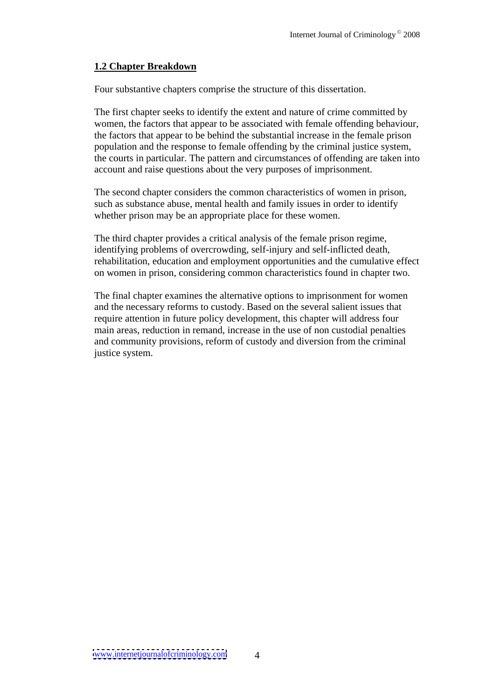## **1.2 Chapter Breakdown**

Four substantive chapters comprise the structure of this dissertation.

The first chapter seeks to identify the extent and nature of crime committed by women, the factors that appear to be associated with female offending behaviour, the factors that appear to be behind the substantial increasein the female prison population and the response to female offending by the criminal justice system, the courts in particular. The pattern and circumstances of offending are taken into account and raise questions about the very purposes of imprisonment.

The second chapter considers the common characteristics of women in prison, such as substance abuse, mental health and family issues in order to identify whether prison may be an appropriate place for these women.

The third chapter provides a critical analysis of the female prison regime, identifying problems of overcrowding, self-injury and self-inflicted death, rehabilitation, education and employment opportunities and the cumulative effect on women in prison, considering common characteristics found in chapter two.

The final chapter examines the alternative options to imprisonment for women and the necessary reforms to custody. Based on the several salient issues that require attention in future policy development, this chapter will address four main areas, reduction in remand, increase in the use of non custodial penalties and community provisions, reform of custody and diversion from the criminal justice system.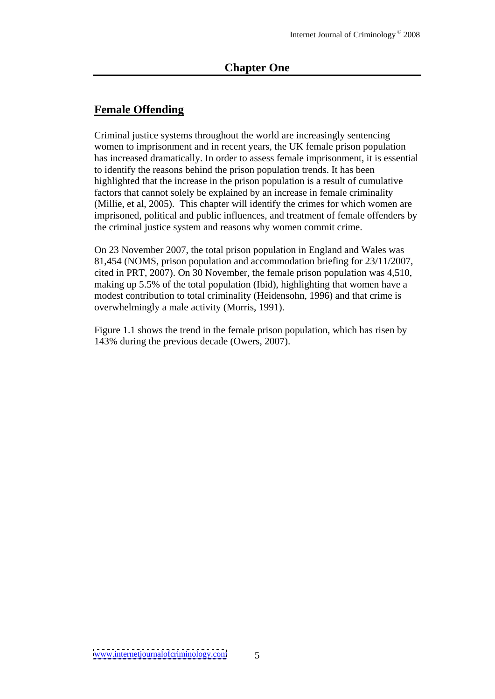## **Female Offending**

Criminal justice systems throughout the world are increasingly sentencing women to imprisonment and in recent years, the UK female prison population has increased dramatically. In order to assess female imprisonment, it is essential to identify the reasons behind the prison population trends. It has been highlighted that the increase in the prison population is a result of cumulative factors that cannot solely be explained by an increase in female criminality (Millie, et al, 2005). This chapter will identify the crimes for which women are imprisoned, political and public influences, and treatment of female offenders by the criminal justice system and reasons why women commit crime.

On 23 November 2007, the total prison population in England and Wales was 81,454 (NOMS, prison population and accommodation briefing for 23/11/2007, cited in PRT, 2007). On 30 November, the female prison population was 4,510, making up 5.5% of the total population (Ibid), highlighting that women have a modest contribution to total criminality (Heidensohn, 1996) and that crime is overwhelmingly a male activity (Morris, 1991).

Figure 1.1 shows the trend in the female prison population, which has risen by 143% during the previous decade (Owers, 2007).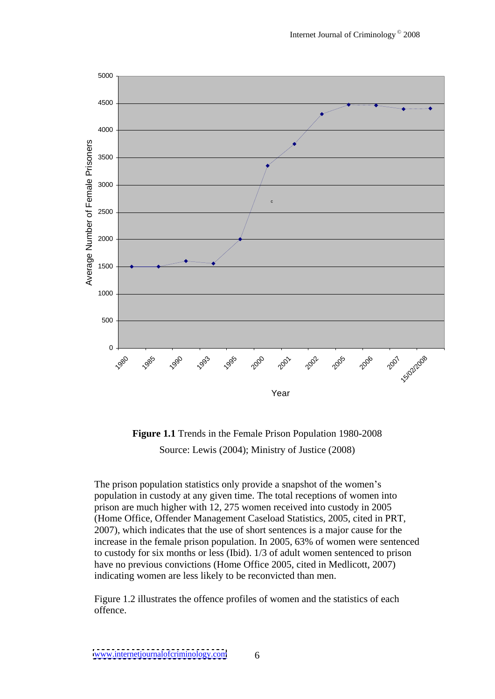

**Figure 1.1** Trends in the Female Prison Population 1980-2008 Source: Lewis (2004); Ministry of Justice (2008)

The prison population statistics only provide a snapshot of the women's population in custody at any given time. The total receptions of women into prison are much higher with 12, 275 women received into custody in 2005 (Home Office, Offender Management Caseload Statistics, 2005, cited in PRT, 2007), which indicates that the use of short sentences is a major cause for the increase in the female prison population. In 2005, 63% of women were sentenced to custody for six months or less (Ibid). 1/3 of adult women sentenced to prison have no previous convictions (Home Office 2005, cited in Medlicott, 2007) indicating women are less likely to be reconvicted than men.

Figure 1.2 illustrates the offence profiles of women and the statistics of each offence.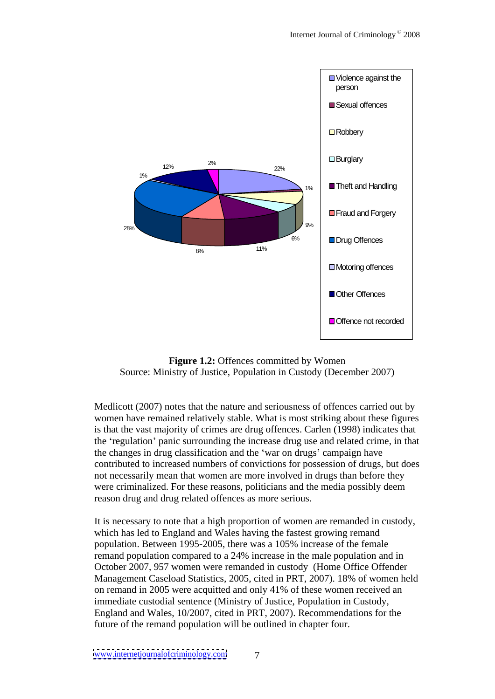



Medlicott (2007) notes that the nature and seriousness of offences carried out by women have remained relatively stable. What is most striking about these figures is that the vast majority of crimes are drug offences. Carlen (1998) indicates that the 'regulation' panic surrounding the increase drug use and related crime, in that the changes in drug classification and the 'war on drugs' campaign have contributed to increased numbers of convictions for possession of drugs, but does not necessarily mean that women are more involved in drugs than before they were criminalized. For these reasons, politicians and the media possibly deem reason drug and drug related offences as more serious.

It is necessary to note that a high proportion of women are remanded in custody, which has led to England and Wales having the fastest growing remand population. Between 1995-2005, there was a 105% increase of the female remand population compared to a 24% increase in the male population and in October 2007, 957 women were remanded in custody (Home Office Offender Management Caseload Statistics, 2005, cited in PRT, 2007). 18% of women held on remand in 2005 were acquitted and only 41% of these women received an immediate custodial sentence (Ministry of Justice, Population in Custody, England and Wales, 10/2007, cited in PRT, 2007). Recommendations for the future of the remand population will be outlined in chapter four.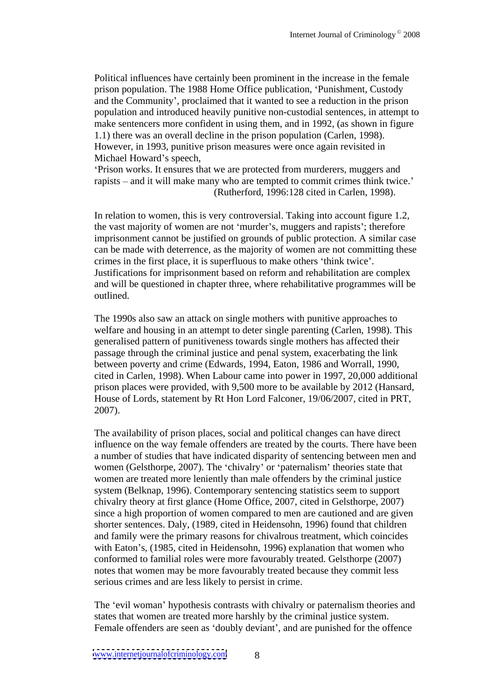Political influences have certainly been prominent in the increase in the female prison population. The 1988 Home Office publication, Punishment, Custody and the Community , proclaimed that it wanted to see a reduction in the prison population and introduced heavily punitive non-custodial sentences, in attempt to make sentencers more confident in using them, and in 1992, (as shown in figure 1.1) there was an overall decline in the prison population (Carlen, 1998). However, in 1993, punitive prison measures were once again revisited in Michael Howard's speech,

Prison works. It ensures that we are protected from murderers, muggers and rapists – and it will make many who are tempted to commit crimes think twice.' (Rutherford, 1996:128 cited in Carlen, 1998).

In relation to women, this is very controversial. Taking into account figure 1.2, the vast majority of women are not 'murder's, muggers and rapists'; therefore imprisonment cannot be justified on grounds of public protection. A similar case can be made with deterrence, as the majority of women are not committing these crimes in the first place, it is superfluous to make others 'think twice'. Justifications for imprisonment based on reform and rehabilitation are complex and will be questioned in chapter three, where rehabilitative programmes will be outlined.

The 1990s also saw an attack on singlemothers with punitive approaches to welfare and housing in an attempt to deter single parenting (Carlen, 1998). This generalised pattern of punitiveness towards single mothers has affected their passage through the criminal justice and penal system, exacerbating the link between poverty and crime (Edwards, 1994, Eaton, 1986 and Worrall, 1990, cited in Carlen, 1998). When Labour came into power in 1997, 20,000 additional prison places were provided, with 9,500 more to be available by 2012 (Hansard, House of Lords, statement by Rt Hon Lord Falconer, 19/06/2007, cited in PRT, 2007).

The availability of prison places, social and political changes can have direct influence on the way female offenders are treated by the courts. There have been a number of studies that have indicated disparity of sentencing between men and women (Gelsthorpe, 2007). The 'chivalry' or 'paternalism' theories state that women are treated more leniently than male offenders by the criminal justice system (Belknap, 1996). Contemporary sentencing statistics seem to support chivalry theory at first glance (Home Office, 2007, cited in Gelsthorpe, 2007) since a high proportion of women compared to men are cautioned and are given shorter sentences. Daly, (1989, cited in Heidensohn, 1996) found that children and family were the primary reasons for chivalrous treatment, which coincides with Eaton's, (1985, cited in Heidensohn, 1996) explanation that women who conformed to familial roles were more favourably treated. Gelsthorpe (2007) notes that women may be more favourably treated because they commit less serious crimes and are less likely to persist in crime.

The 'evil woman' hypothesis contrasts with chivalry or paternalism theories and states that women are treated more harshly by the criminal justice system. Female offenders are seen as 'doubly deviant', and are punished for the offence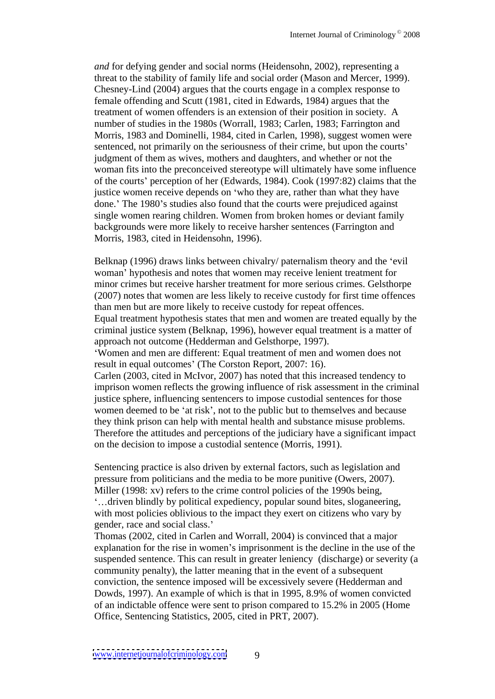*and* for defying gender and social norms (Heidensohn, 2002), representing a threat to the stability of family life and social order (Mason and Mercer, 1999). Chesney-Lind (2004) argues that the courts engage in a complex response to female offending and Scutt (1981, cited in Edwards, 1984) argues that the treatment of women offenders is an extension of their position in society. A number of studies in the 1980s (Worrall, 1983; Carlen, 1983; Farrington and Morris, 1983 and Dominelli, 1984, cited in Carlen, 1998), suggest women were sentenced, not primarily on the seriousness of their crime, but upon the courts' judgment of them as wives, mothers and daughters, and whether or not the woman fits into the preconceived stereotype will ultimately have some influence of the courts' perception of her (Edwards, 1984). Cook (1997:82) claims that the justice women receive depends on 'who they are, rather than what they have done.' The 1980's studies also found that the courts were prejudiced against single women rearing children. Women from broken homes or deviant family backgrounds were more likely to receive harsher sentences (Farrington and Morris, 1983, cited in Heidensohn, 1996).

Belknap (1996) draws links between chivalry/ paternalism theory and the 'evil woman' hypothesis and notes that women may receive lenient treatment for minor crimes but receive harsher treatment for more serious crimes. Gelsthorpe (2007) notes that women are less likely to receive custody for first time offences than men but are more likely to receive custody for repeat offences. Equal treatment hypothesis states that men and women are treated equally by the criminal justice system (Belknap, 1996), however equal treatment is a matter of approach not outcome (Hedderman and Gelsthorpe, 1997). Women and men are different: Equal treatment of men and women does not result in equal outcomes' (The Corston Report, 2007: 16). Carlen (2003, cited in McIvor, 2007) has noted that this increased tendency to imprison women reflects the growing influence of risk assessment in the criminal justice sphere, influencing sentencers to impose custodial sentences for those women deemed to be 'at risk', not to the public but to themselves and because they think prison can help with mental health and substance misuse problems. Therefore the attitudes and perceptions of the judiciary have a significant impact on the decision to impose a custodial sentence (Morris, 1991).

Sentencing practice is also driven by external factors, such as legislation and pressure from politicians and the media to be more punitive (Owers, 2007). Miller (1998: xv) refers to the crime control policies of the 1990s being, driven blindly by political expediency, popular sound bites, sloganeering, with most policies oblivious to the impact they exert on citizens who vary by gender, race and social class.

Thomas (2002, cited in Carlen and Worrall, 2004) is convinced that a major explanation for the rise in women's imprisonment is the decline in the use of the suspended sentence. This can result in greater leniency (discharge) or severity (a community penalty), the latter meaning that in the event of a subsequent conviction, the sentence imposed will be excessively severe (Hedderman and Dowds, 1997). An example of which is that in 1995, 8.9% of women convicted of an indictable offence were sent to prison compared to 15.2% in 2005 (Home Office, Sentencing Statistics, 2005, cited in PRT, 2007).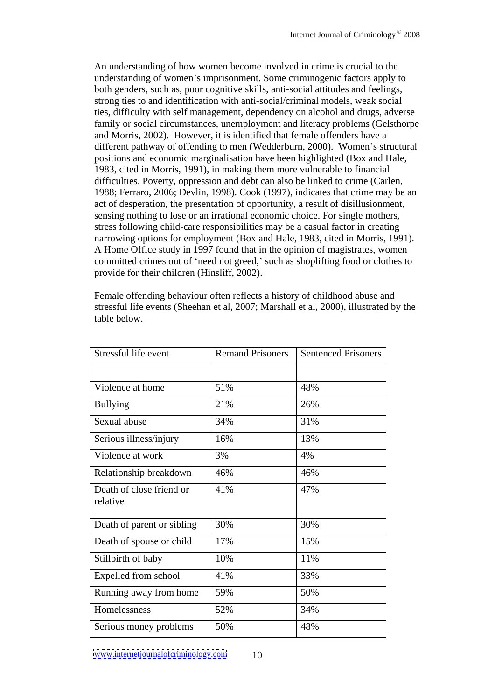An understanding of how women become involved in crime is crucial to the understanding of women's imprisonment. Some criminogenic factors apply to both genders, such as, poor cognitive skills, anti-social attitudes and feelings, strong ties to and identification with anti-social/criminal models, weak social ties, difficulty with self management, dependency on alcohol and drugs, adverse family or social circumstances, unemployment and literacy problems (Gelsthorpe and Morris, 2002). However, it is identified that female offenders have a different pathway of offending to men (Wedderburn, 2000). Women's structural positions and economic marginalisation have been highlighted (Box and Hale, 1983, cited in Morris, 1991), in making them more vulnerable to financial difficulties. Poverty, oppression and debt can also be linked to crime (Carlen, 1988; Ferraro, 2006; Devlin, 1998). Cook (1997), indicates that crime may be an act of desperation, the presentation of opportunity, a result of disillusionment, sensing nothing to lose or an irrational economic choice. For single mothers, stress following child-care responsibilities may be a casual factor in creating narrowing options for employment (Box and Hale, 1983, cited in Morris, 1991). A Home Office study in 1997 found that in the opinion of magistrates, women committed crimes out of 'need not greed,' such as shoplifting food or clothes to provide for their children (Hinsliff, 2002).

Female offending behaviour often reflects a history of childhood abuse and stressful life events (Sheehan et al, 2007; Marshall et al, 2000), illustrated by the table below.

| Stressful life event                 |     | <b>Remand Prisoners   Sentenced Prisoners</b> |
|--------------------------------------|-----|-----------------------------------------------|
|                                      |     |                                               |
| Violence at home                     | 51% | 48%                                           |
| Bullying                             | 21% | 26%                                           |
| Sexual abuse                         | 34% | 31%                                           |
| Serious illness/injury               | 16% | 13%                                           |
| Violence at work                     | 3%  | 4%                                            |
| Relationship breakdown               | 46% | 46%                                           |
| Death of close friend or<br>relative | 41% | 47%                                           |
| Death of parent or sibling           | 30% | 30%                                           |
| Death of spouse or child             | 17% | 15%                                           |
| Stillbirth of baby                   | 10% | 11%                                           |
| Expelled from school                 | 41% | 33%                                           |
| Running away from home               | 59% | 50%                                           |
| Homelessness                         | 52% | 34%                                           |
| Serious money problems               | 50% | 48%                                           |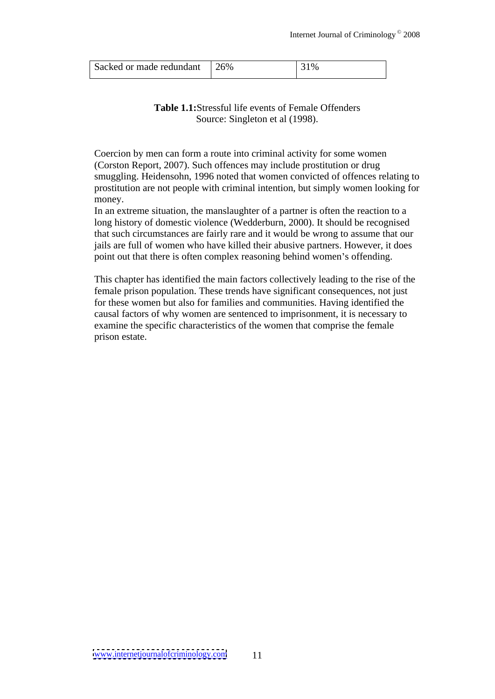## **Table 1.1:**Stressful life events of Female Offenders Source: Singleton et al (1998).

Coercion by men can form a route into criminal activity for some women (Corston Report, 2007). Such offences may include prostitution or drug smuggling. Heidensohn, 1996 noted that women convicted of offences relating to prostitution are not people with criminal intention, but simply women looking for money.

In an extreme situation, the manslaughter of a partner is often the reaction to a long history of domestic violence (Wedderburn, 2000). It should be recognised that such circumstances are fairly rare and it would be wrong to assume that our jails are full of women who have killed their abusive partners. However, it does point out that there is often complex reasoning behind women's offending.

This chapter has identified the main factors collectively leading to the rise of the female prison population. These trends have significant consequences, not just for these women but also for families and communities. Having identified the causal factors of why women are sentenced to imprisonment, it is necessary to examine the specific characteristics of the women that comprise the female prison estate.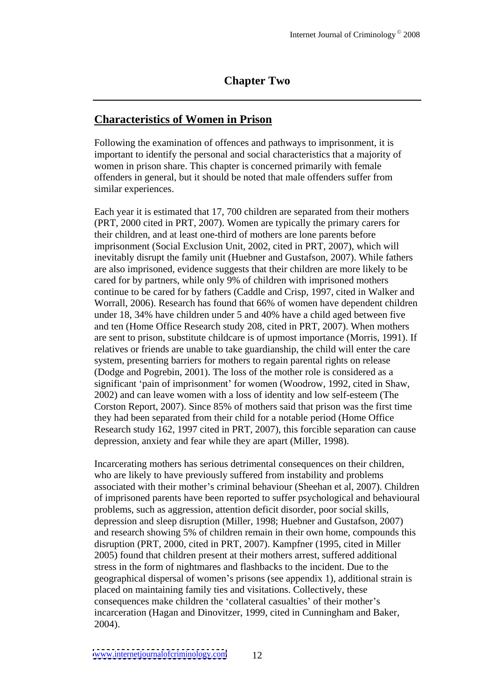## **Chapter Two**

## **Characteristics of Women in Prison**

Following the examination of offences and pathways to imprisonment, it is important to identify the personal and social characteristics that a majority of women in prison share. This chapter is concerned primarily with female offenders in general, but it should be noted that male offenders suffer from similar experiences.

Each year it is estimated that 17, 700 children are separated from their mothers (PRT, 2000 cited in PRT, 2007). Women are typically the primary carers for their children, and at least one-third of mothers are lone parents before imprisonment (Social Exclusion Unit, 2002, cited in PRT, 2007), which will inevitably disrupt the family unit (Huebner and Gustafson, 2007). While fathers are also imprisoned, evidence suggests that their children are more likely to be cared for by partners, while only 9% of children with imprisoned mothers continue to be cared for by fathers (Caddle and Crisp, 1997, cited in Walker and Worrall, 2006). Research has found that 66% of women have dependent children under 18, 34% have children under 5 and 40% have a child aged between five and ten (Home Office Research study 208, cited in PRT, 2007). When mothers are sent to prison, substitute childcare is of upmost importance (Morris, 1991). If relatives or friends are unable to take guardianship, the child will enter the care system, presenting barriers for mothers to regain parental rights on release (Dodge and Pogrebin, 2001). The loss of the mother role is considered as a significant 'pain of imprisonment' for women (Woodrow, 1992, cited in Shaw, 2002) and can leave women with a loss of identity and low self-esteem (The Corston Report, 2007). Since 85% of mothers said that prison was the first time they had been separated from their child for a notable period (Home Office Research study 162, 1997 cited in PRT, 2007), this forcible separation can cause depression, anxiety and fear while they are apart (Miller, 1998).

Incarcerating mothers has serious detrimental consequences on their children, who are likely to have previously suffered from instability and problems associated with their mother's criminal behaviour (Sheehan et al, 2007). Children of imprisoned parents have been reported to suffer psychological and behavioural problems, such as aggression, attention deficit disorder, poor social skills, depression and sleep disruption (Miller, 1998; Huebner and Gustafson, 2007) and research showing 5% of children remain in their own home, compounds this disruption (PRT, 2000, cited in PRT, 2007). Kampfner (1995, cited in Miller 2005) found that children present at their mothers arrest, suffered additional stress in the form of nightmares and flashbacks to the incident. Due to the geographical dispersal of women's prisons (see appendix 1), additional strain is placed on maintaining family ties and visitations. Collectively, these consequences make children the 'collateral casualties' of their mother's incarceration (Hagan and Dinovitzer, 1999, cited in Cunningham and Baker, 2004).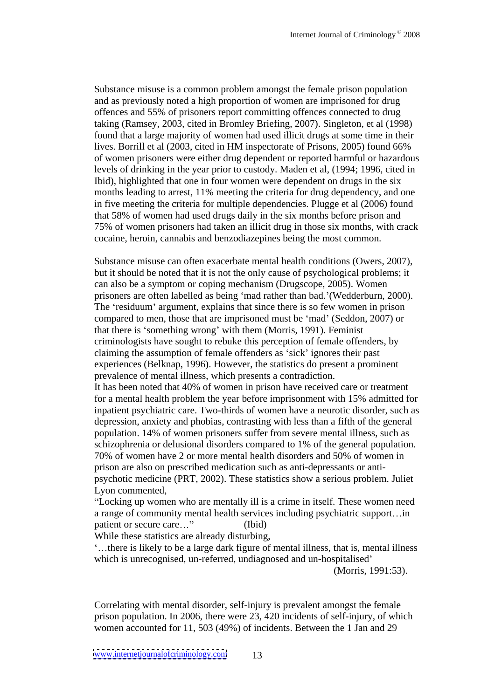Substance misuse is a common problem amongst the female prison population and as previously noted a high proportion of women are imprisoned for drug offences and 55% of prisoners report committing offences connected to drug taking (Ramsey, 2003, cited in Bromley Briefing, 2007). Singleton, et al (1998) found that a large majority of women had used illicit drugs at some time in their lives. Borrill et al (2003, cited in HM inspectorate of Prisons, 2005) found 66% of women prisoners were either drug dependent or reported harmful or hazardous levels of drinking in the year prior to custody. Maden et al, (1994; 1996, cited in Ibid), highlighted that one in four women were dependent on drugs in the six months leading to arrest, 11% meeting the criteria for drug dependency, and one in five meeting the criteria for multiple dependencies. Plugge et al (2006) found that 58% of women had used drugs daily in the six months before prison and 75% of women prisoners had taken an illicit drug in those six months, with crack cocaine, heroin, cannabis and benzodiazepines being the most common.

Substance misuse can often exacerbate mental health conditions (Owers, 2007), but it should be noted that it is not the only cause of psychological problems; it can also be a symptom or coping mechanism (Drugscope, 2005). Women prisoners are often labelled as being 'mad rather than bad.' (Wedderburn, 2000). The 'residuum' argument, explains that since there is so few women in prison compared to men, those that are imprisoned must be 'mad' (Seddon, 2007) or that there is 'something wrong' with them (Morris, 1991). Feminist criminologists have sought to rebuke this perception of female offenders,by claiming the assumption of female offenders as 'sick' ignores their past experiences (Belknap, 1996). However, the statistics do present a prominent prevalence of mental illness, which presents a contradiction. It has been noted that 40% of women in prison have received care or treatment for a mental health problem the year before imprisonment with 15% admitted for inpatient psychiatric care. Two-thirds of women have a neurotic disorder, such as depression, anxiety and phobias, contrasting with less than a fifth of the general population. 14% of women prisoners suffer from severe mental illness, such as schizophrenia or delusional disorders compared to 1% of the general population.<br>70% of women have 2 or more mental health disorders and 50% of women in prison are also on prescribed medication such as anti-depressants or anti psychotic medicine (PRT, 2002). These statistics show a serious problem. Juliet Lyon commented,

Locking up women who are mentally ill is a crime in itself. These women need a range of community mental health services including psychiatric support...in patient or secure care..." (Ibid)

While these statistics are already disturbing,

there is likely to be a large dark figure of mental illness, that is, mental illness which is unrecognised, un-referred, undiagnosed and un-hospitalised'

(Morris, 1991:53).

Correlating with mental disorder, self-injury is prevalent amongst the female prison population. In 2006, there were 23, 420 incidents of self-injury, of which women accounted for 11, 503 (49%) of incidents. Between the 1 Jan and 29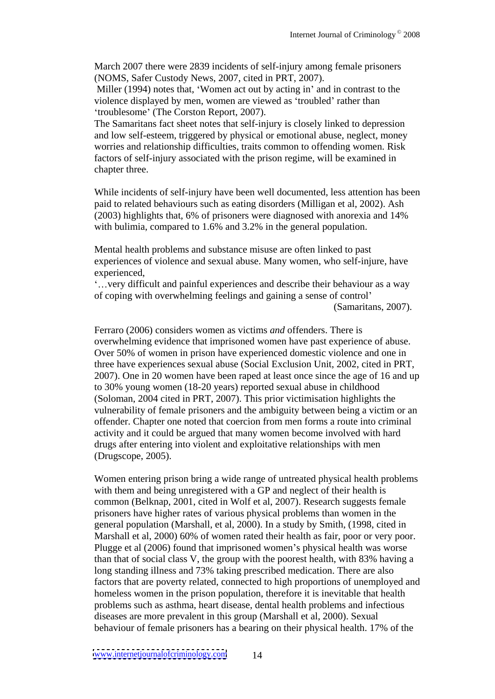March 2007 there were 2839 incidents of self-injury among female prisoners (NOMS, Safer Custody News, 2007, cited in PRT, 2007).

Miller (1994) notes that, 'Women act out by acting in' and in contrast to the violence displayed by men, women are viewed as 'troubled' rather than 'troublesome' (The Corston Report, 2007).

The Samaritans fact sheet notes that self-injury is closely linked to depression and low self-esteem, triggered by physical or emotional abuse, neglect, money worries and relationship difficulties, traits common to offending women. Risk factors of self-injury associated with the prison regime, will be examined in chapter three.

While incidents of self-injury have been well documented, less attention has been paid to related behaviours such as eating disorders (Milligan et al, 2002). Ash (2003) highlights that, 6% of prisoners were diagnosed with anorexia and 14%

with bulimia, compared to 1.6% and 3.2% in the general population.<br>Mental health problems and substance misuse are often linked to past experiences of violence and sexual abuse. Many women, who self-injure, have experienced,

very difficult and painful experiences and describe their behaviour as a way of coping with overwhelming feelings and gaining a sense of control

(Samaritans, 2007).

Ferraro (2006) considers women as victims *and* offenders. There is overwhelming evidence that imprisoned women have past experience of abuse. Over 50% of women in prison have experienced domestic violence and one in three have experiences sexual abuse (Social Exclusion Unit, 2002, cited in PRT, 2007). One in 20 women have been raped at least once since the age of 16 and up to 30% young women (18-20 years) reported sexual abuse in childhood (Soloman, 2004 cited in PRT, 2007). This prior victimisation highlights the vulnerability of female prisoners and the ambiguity between being a victim or an offender. Chapter one noted that coercion from men forms a route into criminal activity and it could be argued that many women become involved with hard drugs after entering into violent and exploitative relationships with men (Drugscope, 2005).

Women entering prison bring a wide range of untreated physical health problems with them and being unregistered with a GP and neglect of their health is common (Belknap, 2001, cited in Wolf et al, 2007). Research suggests female prisoners have higher rates of various physical problems than women in the general population (Marshall, et al, 2000). In a study by Smith, (1998, cited in Marshall et al, 2000) 60% of women rated their health as fair, poor or very poor. Plugge et al (2006) found that imprisoned women's physical health was worse than that of social class V, the group with the poorest health, with 83% having a long standing illness and 73% taking prescribed medication. There are also factors that are poverty related, connected to high proportions of unemployed and homeless women in the prison population, therefore it is inevitable that health problems such as asthma, heart disease, dental health problems and infectious diseases are more prevalent in this group (Marshall et al, 2000). Sexual behaviour of female prisoners has a bearing on their physical health. 17% of the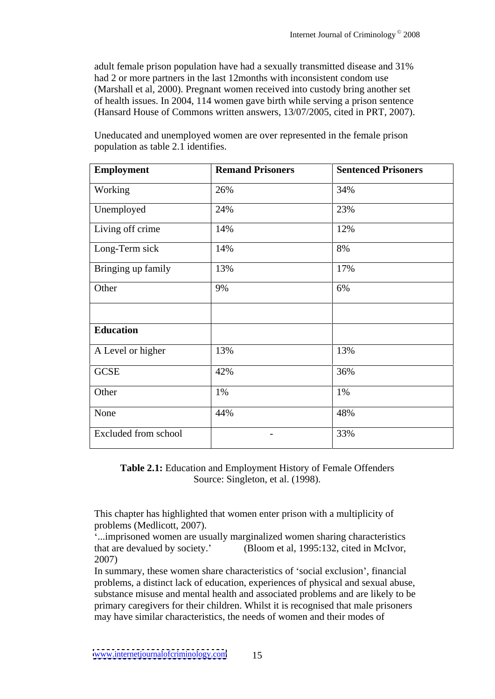adult female prison population have had a sexually transmitted disease and 31% had 2 or more partners in the last 12months with inconsistent condom use (Marshall et al, 2000). Pregnant women received into custody bring another set of health issues. In 2004, 114 women gave birth while serving a prison sentence (Hansard House of Commons written answers, 13/07/2005, cited in PRT, 2007).

| Employment           | <b>Remand Prisoners</b> | <b>Sentenced Prisoners</b> |
|----------------------|-------------------------|----------------------------|
| Working              | 26%                     | 34%                        |
| Unemployed           | 24%                     | 23%                        |
| Living off crime     | 14%                     | 12%                        |
| Long-Term sick       | 14%                     | 8%                         |
| Bringing up family   | 13%                     | 17%                        |
| Other                | 9%                      | 6%                         |
|                      |                         |                            |
| Education            |                         |                            |
| A Level or higher    | 13%                     | 13%                        |
| GCSE                 | 42%                     | 36%                        |
| Other                | 1%                      | 1%                         |
| None                 | 44%                     | 48%                        |
| Excluded from school | $\sim$                  | 33%                        |

Uneducated and unemployed women are over represented in the female prison population as table 2.1 identifies.

**Table 2.1:** Education and Employment History of Female Offenders Source: Singleton, et al. (1998).

This chapter has highlighted that women enter prison with a multiplicity of problems (Medlicott, 2007).

...imprisoned women are usually marginalized women sharing characteristics that are devalued by society. (Bloom et al, 1995:132, cited in McIvor, 2007)

In summary, these women share characteristics of 'social exclusion', financial problems, a distinct lack of education, experiences of physical and sexual abuse, substance misuse and mental health and associated problems and are likely to be primary caregivers for their children. Whilst it is recognised that male prisoners may have similar characteristics, the needs of women and their modes of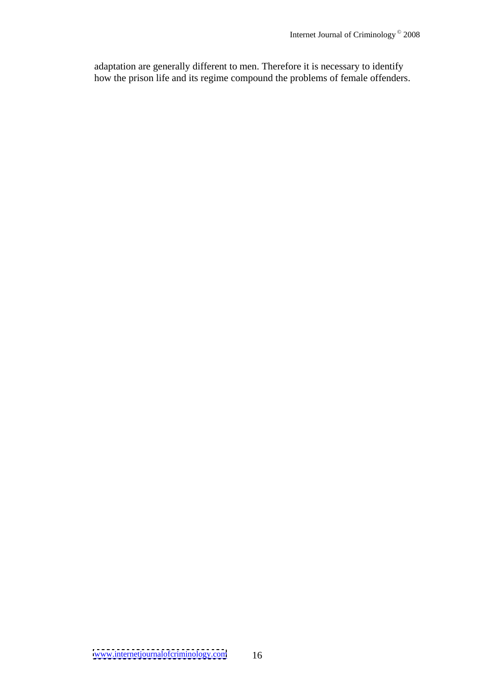adaptation are generally different to men. Therefore it is necessary to identify how the prison life and its regime compound the problems of female offenders.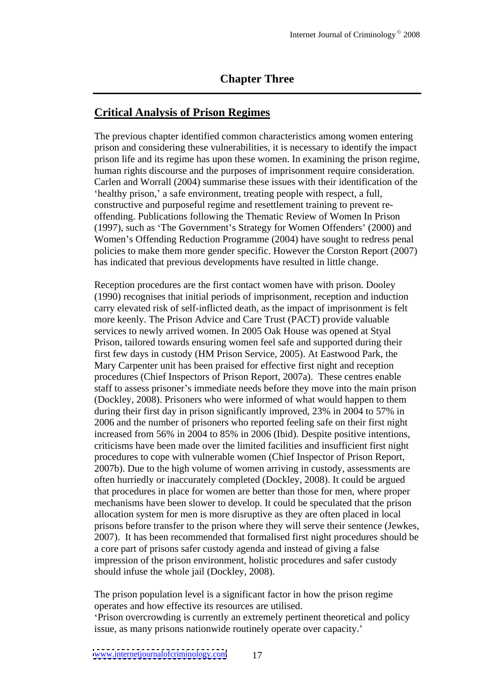## **Chapter Three**

#### **Critical Analysis of Prison Regimes**

The previous chapter identified common characteristics among women entering prison and considering these vulnerabilities, it is necessary to identify the impact prison life and its regime has upon these women. In examining the prison regime, human rights discourse and the purposes of imprisonment require consideration. Carlen and Worrall (2004) summarise these issues with their identification of the healthy prison,' a safe environment, treating people with respect, a full, constructive and purposeful regime and resettlement training to prevent re offending. Publications following the Thematic Review of Women In Prison (1997), such as 'The Government's Strategy for Women Offenders' (2000) and Women's Offending Reduction Programme (2004) have sought to redress penal policies to make them more gender specific. However the Corston Report (2007) has indicated that previous developments have resulted in little change.

Reception procedures are the first contact women have with prison. Dooley (1990) recognises that initial periods of imprisonment, reception and induction carry elevated risk of self-inflicted death, as the impact of imprisonment is felt more keenly. The Prison Advice and Care Trust (PACT) provide valuable services to newly arrived women. In 2005 Oak House was opened at Styal Prison, tailored towards ensuring women feel safe and supported during their first few days in custody (HM Prison Service, 2005). At Eastwood Park, the Mary Carpenter unit has been praised for effective first night and reception procedures (Chief Inspectors of Prison Report, 2007a). These centres enable staff to assess prisoner's immediate needs before they move into the main prison (Dockley, 2008). Prisoners who were informed of what would happen to them during their first day in prison significantly improved, 23% in 2004 to 57% in 2006 and the number of prisoners who reported feeling safe on their first night increased from 56% in 2004 to 85% in 2006 (Ibid). Despite positive intentions, criticisms have been made over the limited facilities and insufficient first night procedures to cope with vulnerable women (Chief Inspector of Prison Report, 2007b). Due to the high volume of women arriving in custody, assessments are often hurriedly or inaccurately completed (Dockley, 2008). It could be argued that procedures in place for women are better than those for men, where proper mechanisms have been slower to develop. It could be speculated that the prison allocation system for men is more disruptive as they are often placed in local prisons before transfer to the prison where they will serve their sentence (Jewkes, 2007). It has been recommended that formalised first night procedures should be a core part of prisons safer custody agenda and instead of giving a false impression of the prison environment, holistic procedures and safer custody should infuse the whole jail (Dockley, 2008).

The prison population level is a significant factor in how the prison regime operates and how effective its resources are utilised.

Prison overcrowding is currently an extremely pertinent theoretical and policy issue, as many prisons nationwide routinely operate over capacity.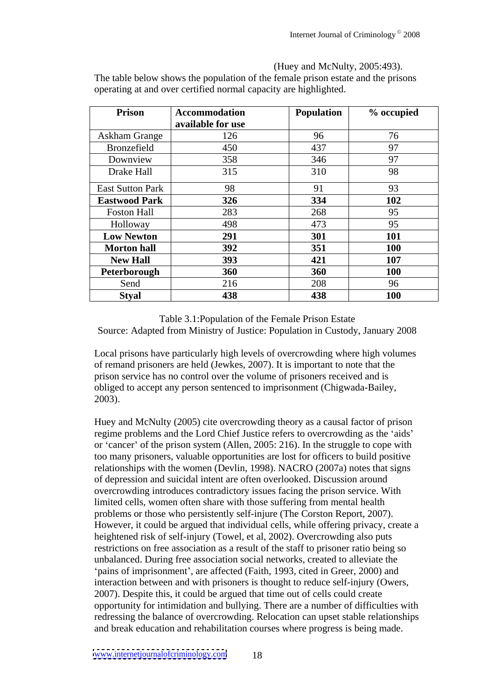| <b>Prison</b>           | Accommodation     | Population  | % occupied          |
|-------------------------|-------------------|-------------|---------------------|
|                         | available for use |             |                     |
| <b>Askham Grange</b>    | 126               | -96         |                     |
| Bronzefield             | 450               | 437         | $\sim$              |
| Downview                | 358               | 346         | $\sim$              |
| Drake Hall              | 315               | 310         |                     |
|                         |                   |             | $\sim$ $\sim$       |
| <b>East Sutton Park</b> | 98                | $\bigcap$ 1 |                     |
| <b>Eastwood Park</b>    | 326               | 334         | 102                 |
| Foston Hall             | 283               | 268         | $\alpha$ $\epsilon$ |
|                         | 498               | 472         | $\alpha$            |
| Holloway                |                   | 4/3         | - 97                |
| <b>Low Newton</b>       | $\overline{291}$  | 20          | 101                 |
| <b>Morton hall</b>      | 392               |             | <b>100</b>          |
| <b>New Hall</b>         | 393               | 421         | <b>107</b>          |
| Peterborough            | 360               | 360         | <b>100</b>          |
| Send                    | 216               | 208         | 96                  |
| Styal                   | 438               | 438         | 100                 |

(Huey and McNulty, 2005:493). The table below shows the population of the female prison estate and the prisons operating at and over certified normal capacity are highlighted.

Table 3.1:Population of the Female Prison Estate Source: Adapted from Ministry of Justice: Population in Custody, January 2008

Local prisons have particularly high levels of overcrowding where high volumes of remand prisoners are held (Jewkes, 2007). It is important to note that the prison service has no control over the volume of prisoners received and is obliged to accept any person sentenced to imprisonment (Chigwada-Bailey, 2003).

Huey and McNulty (2005) cite overcrowding theory as a causal factor of prison regime problems and the Lord Chief Justice refers to overcrowding as the 'aids' or 'cancer' of the prison system (Allen,  $2005: 216$ ). In the struggle to cope with too many prisoners, valuable opportunities are lost for officers to build positive relationships with the women (Devlin, 1998). NACRO (2007a) notes that signs of depression and suicidal intent are often overlooked. Discussion around overcrowding introduces contradictory issues facing the prison service. With limited cells, women often share with those suffering from mental health problems or those who persistently self-injure (The Corston Report, 2007). However, it could be argued that individual cells, while offering privacy, create a heightened risk of self-injury (Towel, et al, 2002). Overcrowding also puts restrictions on free association as a result of the staff to prisoner ratio being so unbalanced. During free association social networks, created to alleviate the 'pains of imprisonment', are affected (Faith, 1993, cited in Greer, 2000) and interaction between and with prisoners is thought to reduce self-injury (Owers, 2007). Despite this, it could be argued that time out of cells could create opportunity for intimidation and bullying. There are a number of difficulties with redressing the balance of overcrowding. Relocation can upset stable relationships and break education and rehabilitation courses where progress is being made.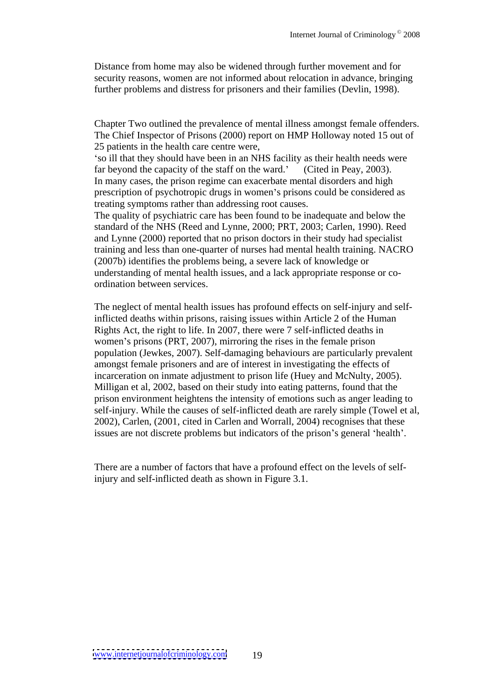Distance from home may also be widened through further movement and for security reasons, women are not informed about relocation in advance, bringing further problems and distress for prisoners and their families (Devlin, 1998).

Chapter Two outlined the prevalence of mental illness amongst female offenders. The Chief Inspector of Prisons (2000) report on HMP Holloway noted 15 out of 25 patients in the health care centre were,

so ill that they should have been in an NHS facility as their health needs were far beyond the capacity of the staff on the ward.' (Cited in Peay, 2003). In many cases, the prison regime can exacerbate mental disorders and high prescription of psychotropic drugs in women's prisons could be considered as treating symptoms rather than addressing root causes.

The quality of psychiatric care has been found to be inadequate and below the standard of the NHS (Reed and Lynne, 2000; PRT, 2003; Carlen, 1990). Reed and Lynne (2000) reported that no prison doctors in their study had specialist training and less than one-quarter of nurses had mental health training. NACRO (2007b) identifies the problems being, a severe lack of knowledge or understanding of mental health issues, and a lack appropriate response or co ordination between services.

The neglect of mental health issues has profound effects on self-injury and selfinflicted deaths within prisons, raising issues within Article 2 of the Human Rights Act, the right to life. In 2007, there were 7 self-inflicted deaths in women's prisons (PRT, 2007), mirroring the rises in the female prison population (Jewkes, 2007). Self-damaging behaviours are particularly prevalent amongst female prisoners and are of interest in investigating the effects of incarceration on inmate adjustment to prison life (Huey and McNulty, 2005). Milligan et al, 2002, based on their study into eating patterns, found that the prison environment heightens the intensity of emotions such as anger leading to self-injury. While the causes of self-inflicted death are rarely simple (Towel et al, 2002), Carlen, (2001, cited in Carlen and Worrall, 2004) recognises that these issues are not discrete problems but indicators of the prison's general 'health'.

There are a number of factors that have a profound effect on the levels of selfinjury and self-inflicted death as shown in Figure 3.1.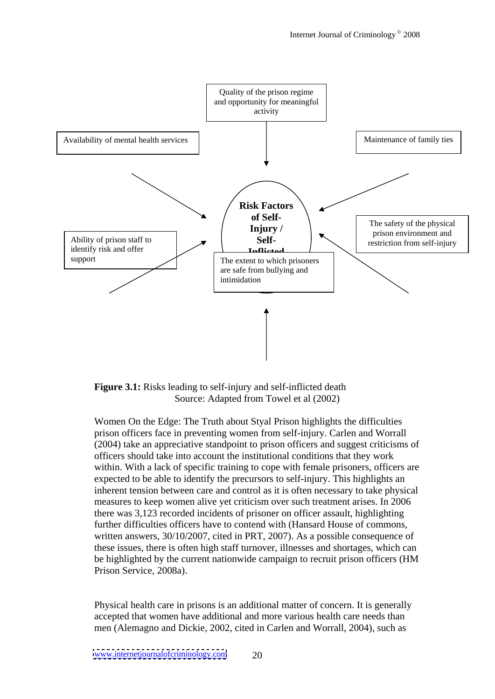

**Figure 3.1:** Risks leading to self-injury and self-inflicted death Source: Adapted from Towel et al (2002)

Women On the Edge: The Truth about Styal Prison highlights the difficulties prison officers face in preventing women from self-injury. Carlen and Worrall (2004) take an appreciative standpoint to prison officers and suggest criticisms of officers should take into account the institutional conditions that they work within. With a lack of specific training to cope with female prisoners, officers are expected to be able to identify the precursors to self-injury. This highlights an inherent tension between care and control as it is often necessary to take physical measures to keep women alive yet criticism over such treatment arises. In 2006 there was 3,123 recorded incidents of prisoner on officer assault, highlighting further difficulties officers have to contend with (Hansard House of commons, written answers, 30/10/2007, cited in PRT, 2007). As a possible consequence of these issues, there is often high staff turnover, illnesses and shortages, which can be highlighted by the current nationwide campaign to recruit prison officers (HM Prison Service, 2008a).

Physical health care in prisons is an additional matter of concern. It is generally accepted that women have additional and more various health care needs than men (Alemagno and Dickie, 2002, cited in Carlen and Worrall, 2004), such as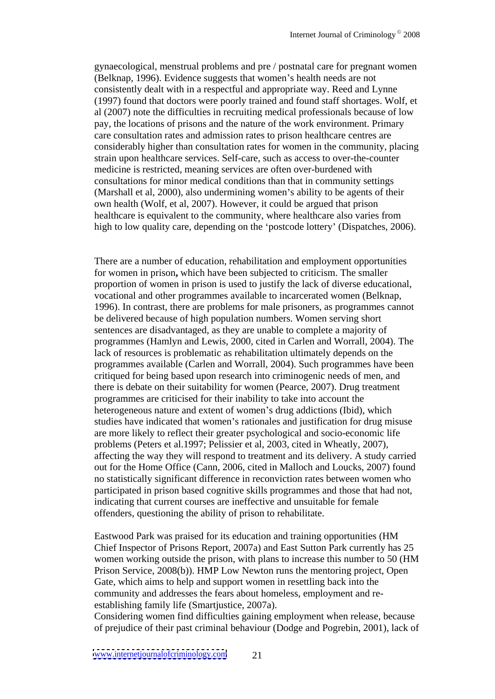gynaecological, menstrual problems and pre / postnatal care for pregnant women (Belknap, 1996). Evidence suggests that women's health needs are not consistently dealt with in a respectful and appropriate way. Reed and Lynne (1997) found that doctors were poorly trained and found staff shortages. Wolf, et al (2007) note the difficulties in recruiting medical professionals because of low pay, the locations of prisons and the nature of the work environment. Primary care consultation rates and admission rates to prison healthcare centres are considerably higher than consultation rates for women in the community, placing strain upon healthcare services. Self-care, such as access to over-the-counter medicine is restricted, meaning services are often over-burdened with consultations for minor medical conditions than that in community settings (Marshall et al, 2000), also undermining women's ability to be agents of their own health (Wolf, et al, 2007). However, it could be argued that prison healthcare is equivalent to the community, where healthcare also varies from high to low quality care, depending on the 'postcode lottery' (Dispatches, 2006).

There are a number of education, rehabilitation and employment opportunities for women in prison**,** which have been subjected to criticism. The smaller proportion of women in prison is used to justify the lack of diverse educational, vocational and other programmes available to incarcerated women (Belknap, 1996). In contrast, there are problems for male prisoners, as programmes cannot be delivered because of high population numbers. Women serving short sentences are disadvantaged, as they are unable to complete a majority of programmes (Hamlyn and Lewis, 2000, cited in Carlen and Worrall, 2004). The lack of resources is problematic as rehabilitation ultimately depends on the programmes available (Carlen and Worrall, 2004). Such programmes have been critiqued for being based upon research into criminogenic needs of men, and there is debate on their suitability for women (Pearce, 2007). Drug treatment programmes are criticised for their inability to take into account the heterogeneous nature and extent of women's drug addictions (Ibid), which studies have indicated that women's rationales and justification for drug misuse are more likely to reflect their greater psychological and socio-economic life problems (Peters et al.1997; Pelissier et al, 2003, cited in Wheatly, 2007), affecting the way they will respond to treatment and its delivery. A study carried out for the Home Office (Cann, 2006, cited in Malloch and Loucks, 2007) found no statistically significant difference in reconviction rates between women who participated in prison based cognitive skills programmes and those that had not, indicating that current courses are ineffective and unsuitable for female offenders, questioning the ability of prison to rehabilitate.

Eastwood Park was praised for its education and training opportunities (HM Chief Inspector of Prisons Report, 2007a) and East Sutton Park currently has 25 women working outside the prison, with plans to increase this number to 50 (HM Prison Service, 2008(b)). HMP Low Newton runs the mentoring project, Open Gate, which aims to help and support women in resettling back into the community and addresses the fears about homeless, employment and re establishing family life (Smartjustice, 2007a).

Considering women find difficulties gaining employment when release, because of prejudice of their past criminal behaviour (Dodge and Pogrebin, 2001), lack of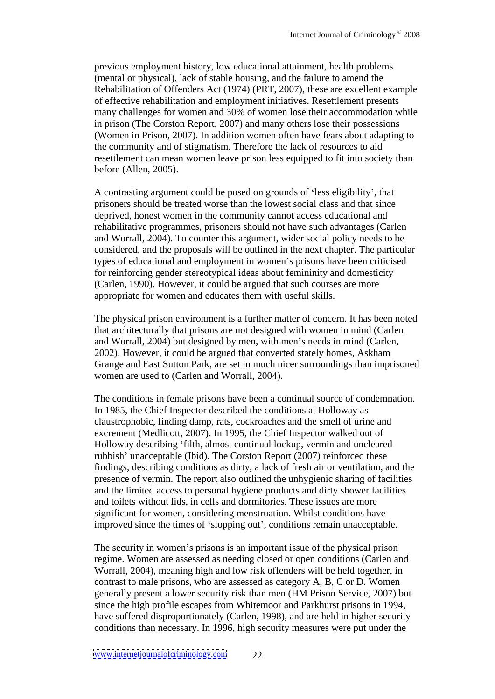previous employment history, low educational attainment, health problems (mental or physical), lack of stable housing, and the failure to amend the Rehabilitation of Offenders Act (1974) (PRT, 2007), these are excellent example of effective rehabilitation and employment initiatives. Resettlement presents many challenges for women and 30% of women lose their accommodation while in prison (The Corston Report, 2007) and many others lose their possessions (Women in Prison, 2007). In addition women often have fears about adapting to the community and of stigmatism. Therefore the lack of resources to aid resettlement can mean women leave prison less equipped to fit into society than before (Allen, 2005).

A contrasting argument could be posed on grounds of 'less eligibility', that prisoners should be treated worse than the lowest social class and that since deprived, honest women in the community cannot access educational and rehabilitative programmes, prisoners should not have such advantages (Carlen and Worrall, 2004). To counter this argument, wider social policy needs to be considered, and the proposals will be outlined in the next chapter. The particular types of educational and employment in women's prisons have been criticised for reinforcing gender stereotypical ideas about femininity and domesticity (Carlen, 1990). However, it could be argued that such courses are more appropriate for women and educates them with useful skills.

The physical prison environment is a further matter of concern. It has been noted that architecturally that prisons are not designed with women in mind (Carlen and Worrall, 2004) but designed by men, with men's needs in mind (Carlen, 2002). However, it could be argued that converted stately homes, Askham Grange and East Sutton Park, are set in much nicer surroundings than imprisoned women are used to (Carlen and Worrall, 2004).

The conditions in female prisons have been a continual source of condemnation. In 1985, the Chief Inspector described the conditions at Holloway as claustrophobic, finding damp, rats, cockroaches and the smell of urine and excrement (Medlicott, 2007). In 1995, the Chief Inspector walked out of Holloway describing 'filth, almost continual lockup, vermin and uncleared rubbish' unacceptable (Ibid). The Corston Report (2007) reinforced these findings, describing conditions as dirty, a lack of fresh air or ventilation, and the presence of vermin. The report also outlined the unhygienic sharing of facilities and the limited access to personal hygiene products and dirty shower facilities and toilets without lids, in cells and dormitories. These issues are more significant for women, considering menstruation.Whilst conditions have improved since the times of 'slopping out', conditions remain unacceptable.

The security in women's prisons is an important issue of the physical prison regime. Women are assessed as needing closed or open conditions (Carlen and Worrall, 2004), meaning high and low risk offenders will be held together, in contrast to male prisons, who are assessed as category A, B, C or D. Women generally present a lower security risk than men (HM Prison Service, 2007) but since the high profile escapes from Whitemoor and Parkhurst prisons in 1994, have suffered disproportionately (Carlen, 1998), and are held in higher security conditions than necessary. In 1996, high security measures were put under the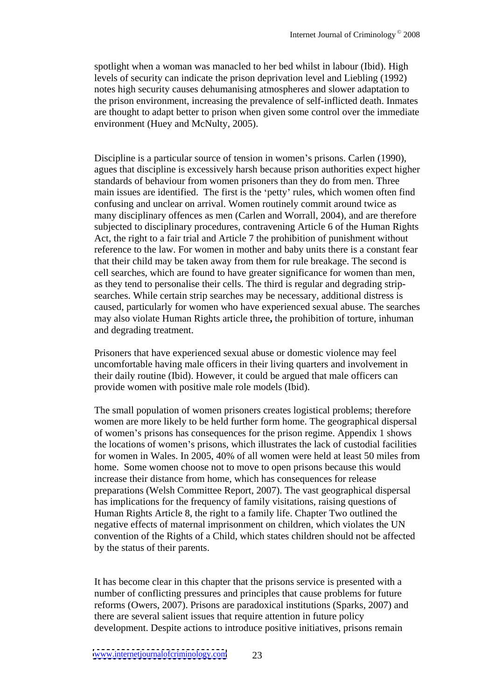spotlight when a woman was manacled to her bed whilst in labour (Ibid). High levels of security can indicate the prison deprivation level and Liebling (1992) notes high security causes dehumanising atmospheres and slower adaptation to the prison environment, increasing the prevalence of self-inflicted death. Inmates are thought to adapt better to prison when given some control over the immediate environment (Huey and McNulty, 2005).

Discipline is a particular source of tension in women's prisons. Carlen (1990), agues that discipline is excessively harsh because prison authorities expect higher standards of behaviour from women prisoners than they do from men. Three main issues are identified. The first is the 'petty' rules, which women often find confusing and unclear on arrival. Women routinely commit around twice as many disciplinary offences as men (Carlen and Worrall, 2004), and are therefore subjected to disciplinary procedures, contravening Article 6 of the Human Rights Act, the right to a fair trial and Article 7 the prohibition of punishment without reference to the law. For women in mother and baby units there is a constant fear that their child may be taken away from them for rule breakage. The second is cell searches, which are found to have greater significance for women than men, as they tend to personalise their cells. The third is regular and degrading strip searches. While certain strip searches may be necessary, additional distress is caused, particularly for women who have experienced sexual abuse. The searches may also violate Human Rights article three**,** the prohibition of torture, inhuman and degrading treatment.

Prisoners that have experienced sexual abuse or domestic violence may feel uncomfortable having male officers in their living quarters and involvement in their daily routine (Ibid). However, it could be argued that male officers can provide women with positive male rolemodels (Ibid).

The small population of women prisoners creates logistical problems; therefore women are more likely to be held further form home. The geographical dispersal of women's prisons has consequences for the prison regime. Appendix 1 shows the locations of women's prisons, which illustrates the lack of custodial facilities for women in Wales. In 2005, 40% of all women were held at least 50 miles from home. Some women choose not to move to open prisons because this would increase their distance from home, which has consequences for release preparations (Welsh Committee Report, 2007). The vast geographical dispersal has implications for the frequency of family visitations, raising questions of Human Rights Article 8, the right to a family life. Chapter Two outlined the negative effects of maternal imprisonment on children, which violates the UN convention of the Rights of a Child, which states children should not be affected by the status of their parents.

It has become clear in this chapter that the prisons service is presented with a number of conflicting pressures and principles that cause problems for future reforms (Owers, 2007). Prisons are paradoxical institutions (Sparks, 2007) and there are several salient issues that require attention in future policy development. Despite actions to introduce positive initiatives, prisons remain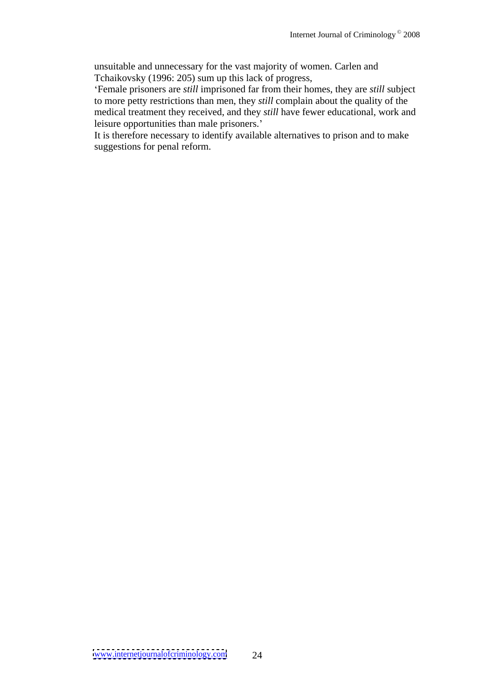unsuitable and unnecessary for the vast majority of women. Carlen and Tchaikovsky (1996: 205) sum up this lack of progress,

Female prisoners are *still* imprisoned far from their homes, they are *still* subject to more petty restrictions than men, they *still* complain about the quality of the medical treatment they received, and they *still* have fewer educational, work and leisure opportunities than male prisoners.

It is therefore necessary to identify available alternatives to prison and to make suggestions for penal reform.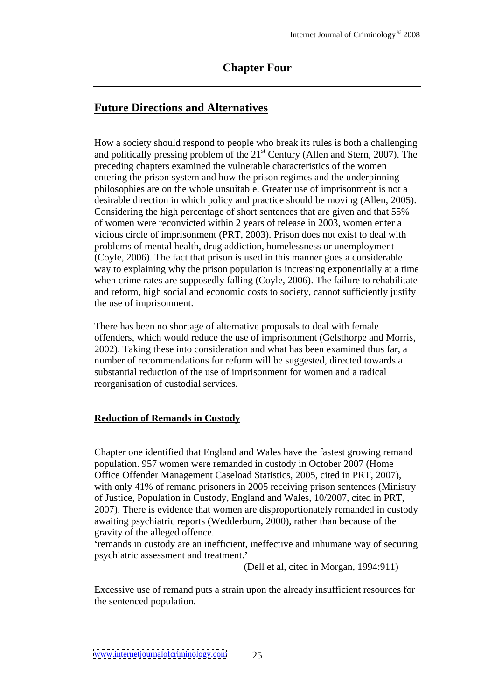## **Chapter Four**

## **Future Directions and Alternatives**

How a society should respond to people who break its rules is both achallenging and politically pressing problem of the 21 st Century (Allen and Stern, 2007). The preceding chapters examined the vulnerable characteristics of the women entering the prison system and how the prison regimes and the underpinning philosophies are on the whole unsuitable. Greater use of imprisonment is not a desirable direction in which policy and practice should be moving (Allen, 2005). Considering the high percentage of short sentences that are given and that 55% of women were reconvicted within 2 years of release in 2003, women enter a vicious circle of imprisonment (PRT, 2003). Prison does not exist to deal with problems of mental health, drug addiction, homelessness or unemployment (Coyle, 2006). The fact that prison is used in this manner goes a considerable way to explaining why the prison population is increasing exponentially at a time when crime rates are supposedly falling (Coyle, 2006). The failure to rehabilitate and reform, high social and economic costs to society, cannot sufficiently justify the use of imprisonment.

There has been no shortage of alternative proposals to deal with female offenders, which would reduce the use of imprisonment (Gelsthorpe and Morris, 2002). Taking these into consideration and what has been examined thus far, a number of recommendations for reform will be suggested, directed towards a substantial reduction of the use of imprisonment for women and a radical reorganisation of custodial services.

#### **Reduction of Remands in Custody**

Chapter one identified that England and Wales have the fastest growing remand population. 957 women were remanded in custody in October 2007 (Home Office Offender Management Caseload Statistics, 2005, cited in PRT, 2007), with only 41% of remand prisoners in 2005 receiving prison sentences (Ministry of Justice, Population in Custody, England and Wales, 10/2007, cited in PRT, 2007). There is evidence that women are disproportionately remanded in custody awaiting psychiatric reports (Wedderburn, 2000), rather than because of the gravity of the alleged offence.

remands in custody are an inefficient, ineffective and inhumane way of securing psychiatric assessment and treatment.'<br>(Dell et al, cited in Morgan, 1994:911)

Excessive use of remand puts a strain upon the already insufficient resources for the sentenced population.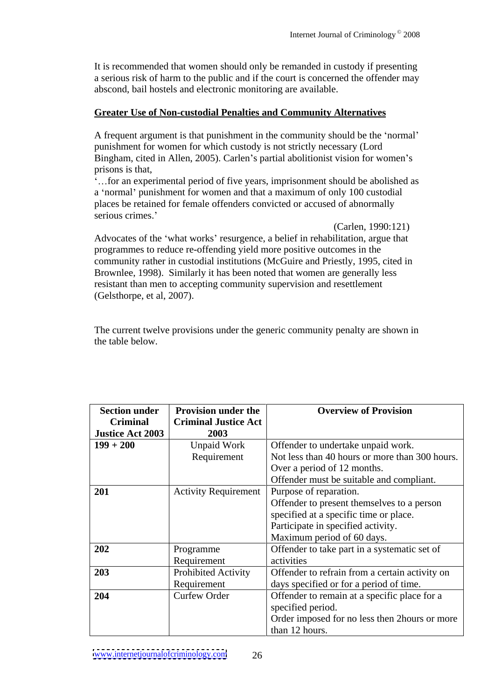It is recommended that women should only be remanded in custody if presenting a serious risk of harm to the public and if the court is concerned the offender may abscond, bail hostels and electronic monitoring are available.

## **Greater Use of Non-custodial Penalties and Community Alternatives**

A frequent argument is that punishment in the community should be the 'normal' punishment for women for which custody is not strictly necessary (Lord Bingham, cited in Allen, 2005). Carlen's partial abolitionist vision for women's prisons is that,

*f...* for an experimental period of five years, imprisonment should be abolished as a 'normal' punishment for women and that a maximum of only 100 custodial places be retained for female offenders convicted or accused of abnormally serious crimes.'

(Carlen, 1990:121)

Advocates of the 'what works' resurgence, a belief in rehabilitation, argue that programmes to reduce re-offending yield more positive outcomes in the community rather in custodial institutions (McGuire and Priestly, 1995, cited in Brownlee, 1998). Similarly it has been noted that women are generally less resistant than men to accepting community supervision and resettlement (Gelsthorpe, et al, 2007).

The current twelve provisions under the generic community penalty are shown in the table below.

| <b>Section under</b>                | <b>Provision under the</b>          | <b>Overview of Provision</b>                   |
|-------------------------------------|-------------------------------------|------------------------------------------------|
| <b>Criminal</b><br>Justice Act 2003 | <b>Criminal Justice Act</b><br>2003 |                                                |
| $199 + 200$                         | <b>Unpaid Work</b>                  | Offender to undertake unpaid work.             |
|                                     | Requirement                         | Not less than 40 hours or more than 300 hours. |
|                                     |                                     |                                                |
|                                     |                                     | Over a period of 12 months.                    |
|                                     |                                     | Offender must be suitable and compliant.       |
| 201                                 |                                     | Activity Requirement   Purpose of reparation.  |
|                                     |                                     | Offender to present themselves to a person     |
|                                     |                                     | specified at a specific time or place.         |
|                                     |                                     | Participate in specified activity.             |
|                                     |                                     | Maximum period of 60 days.                     |
| 202                                 | Programme                           | Offender to take part in a systematic set of   |
|                                     | Requirement                         | activities                                     |
| 203                                 | <b>Prohibited Activity</b>          | Offender to refrain from a certain activity on |
|                                     | Requirement                         | days specified or for a period of time.        |
| 204                                 | <b>Curfew Order</b>                 | Offender to remain at a specific place for a   |
|                                     |                                     | specified period.                              |
|                                     |                                     | Order imposed for no less then 2 hours or more |
|                                     |                                     | than 12 hours.                                 |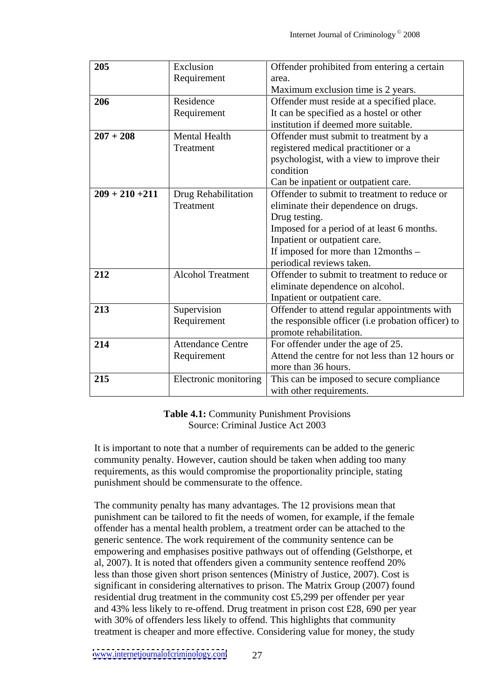| 205                 | Exclusion                             | Offender prohibited from entering a certain        |
|---------------------|---------------------------------------|----------------------------------------------------|
|                     | Requirement                           | area.                                              |
|                     |                                       | Maximum exclusion time is 2 years.                 |
| 206                 | Residence                             | Offender must reside at a specified place.         |
|                     | Requirement                           | It can be specified as a hostel or other           |
|                     |                                       | institution if deemed more suitable.               |
| $\boxed{207 + 208}$ | Mental Health                         | Offender must submit to treatment by a             |
|                     | Treatment                             | registered medical practitioner or a               |
|                     |                                       | psychologist, with a view to improve their         |
|                     |                                       | condition                                          |
|                     |                                       | Can be inpatient or outpatient care.               |
|                     | $209 + 210 + 211$ Drug Rehabilitation | Offender to submit to treatment to reduce or       |
|                     | Treatment                             | eliminate their dependence on drugs.               |
|                     |                                       | Drug testing.                                      |
|                     |                                       | Imposed for a period of at least 6 months.         |
|                     |                                       | Inpatient or outpatient care.                      |
|                     |                                       | If imposed for more than 12months –                |
|                     |                                       | periodical reviews taken.                          |
| 212                 | <b>Alcohol Treatment</b>              | Offender to submit to treatment to reduce or       |
|                     |                                       | eliminate dependence on alcohol.                   |
|                     |                                       | Inpatient or outpatient care.                      |
| 213                 | Supervision                           | Offender to attend regular appointments with       |
|                     | Requirement                           | the responsible officer (i.e probation officer) to |
|                     |                                       | promote rehabilitation.                            |
| 214                 | <b>Attendance Centre</b>              | For offender under the age of 25.                  |
|                     | Requirement                           | Attend the centre for not less than 12 hours or    |
|                     |                                       | more than 36 hours.                                |
| 215                 | Electronic monitoring                 | This can be imposed to secure compliance           |
|                     |                                       | with other requirements.                           |

**Table 4.1:** Community Punishment Provisions Source: Criminal Justice Act 2003

It is important to note that a number of requirements can be added to the generic community penalty. However, caution should be taken when adding too many requirements, as this would compromise the proportionality principle, stating punishment should be commensurate to the offence.

The community penalty has many advantages. The 12 provisions mean that punishment can be tailored to fit the needs of women, for example, if the female offender has a mental health problem, a treatment order can be attached to the generic sentence. The work requirement of the community sentence can be empowering and emphasises positive pathways out of offending (Gelsthorpe, et al, 2007). It is noted that offenders given a community sentence reoffend 20% less than those given short prison sentences (Ministry of Justice, 2007). Cost is significant in considering alternatives to prison. The Matrix Group (2007) found residential drug treatment in the community cost £5,299 per offender per year and 43% less likely to re-offend. Drug treatment in prison cost £28, 690 per year with 30% of offenders less likely to offend. This highlights that community treatment is cheaper and more effective. Considering value for money, the study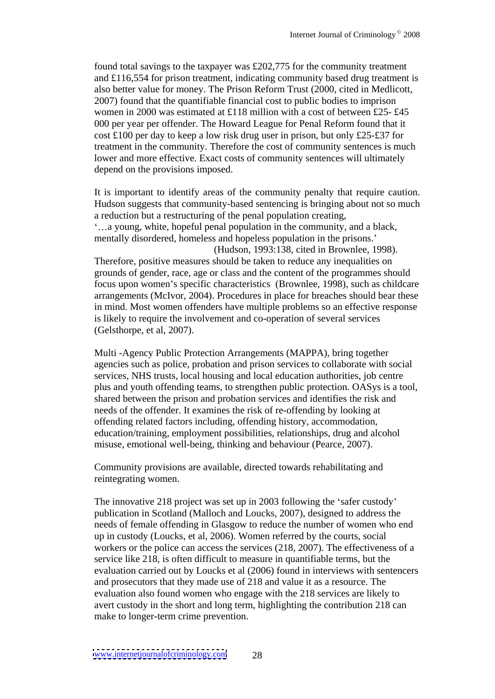found total savings to the taxpayer was £202,775 for the community treatment and £116,554 for prison treatment, indicating community based drug treatment is also better value for money. The Prison Reform Trust (2000, cited in Medlicott, 2007) found that the quantifiable financial cost to public bodies to imprison women in 2000 was estimated at £118 million with a cost of between £25- £45 000 per year per offender. The Howard League for Penal Reform found that it cost £100 per day to keep a low risk drug user in prison, but only £25-£37 for treatment in the community. Therefore the cost of community sentences is much lower and more effective. Exact costs of community sentences will ultimately depend on the provisions imposed.

It is important to identify areas of the community penalty that require caution. Hudson suggests that community-based sentencing is bringing about not so much a reduction but a restructuring of the penal population creating, a young, white, hopeful penal population in the community, and a black, mentally disordered, homeless and hopeless population in the prisons. (Hudson, 1993:138, cited in Brownlee, 1998). Therefore, positive measures should be taken to reduce any inequalities on grounds of gender, race, age or class and the content of the programmes should focus upon women's specific characteristics (Brownlee, 1998), such as childcare arrangements (McIvor, 2004). Procedures in place for breaches should bear these in mind. Most women offenders have multiple problems so an effective response is likely to require the involvement and co-operation of several services (Gelsthorpe, et al, 2007).

Multi -Agency Public Protection Arrangements (MAPPA), bring together agencies such as police, probation and prison services to collaborate with social services, NHS trusts, local housing and local education authorities, job centre plus and youth offending teams, to strengthen public protection. OASys is a tool, shared between the prison and probation services and identifies the risk and needs of the offender. It examines the risk of re-offending by looking at offending related factors including, offending history, accommodation, education/training, employment possibilities, relationships, drug and alcohol misuse, emotional well-being, thinking and behaviour (Pearce, 2007).

Community provisions are available, directed towards rehabilitating and reintegrating women.

The innovative 218 project was set up in 2003 following the 'safer custody' publication in Scotland (Malloch and Loucks, 2007), designed to address the needs of female offending in Glasgow to reduce the number of women who end up in custody (Loucks, et al, 2006). Women referred by the courts, social workers or the police can access the services (218, 2007). The effectiveness of a service like 218, is often difficult to measure in quantifiable terms, but the evaluation carried out by Loucks et al (2006) found in interviews with sentencers and prosecutors that they made use of 218 and value it as a resource. The evaluation also found women who engage with the 218 services are likely to avert custody in the short and long term, highlighting the contribution 218 can make to longer-term crime prevention.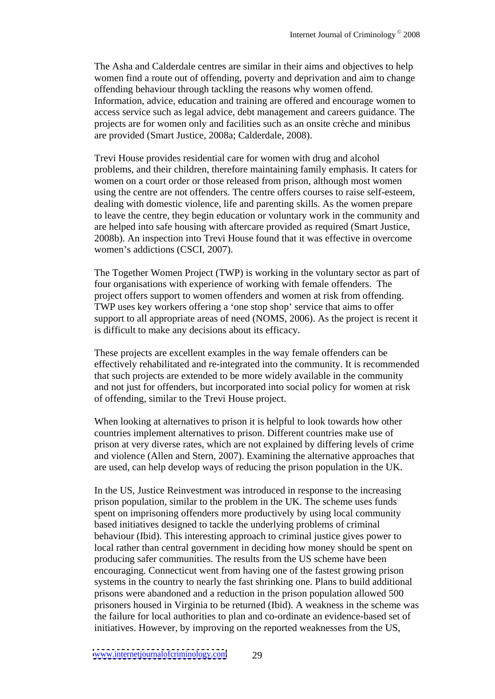The Asha and Calderdale centres are similar in their aims and objectives to help women find a route out of offending, poverty and deprivation and aim to change offending behaviour through tackling the reasons why women offend. Information, advice, education and training are offered and encourage women to access service such as legal advice, debt management and careers guidance. The projects are for women only and facilities such as an onsite crèche and minibus are provided (Smart Justice, 2008a; Calderdale, 2008).

Trevi House provides residential care for women with drug and alcohol problems, and their children, therefore maintaining family emphasis. It caters for women on a court order or those released from prison, although most women using the centre are not offenders. The centre offers courses to raise self-esteem, dealing with domestic violence, life and parenting skills. As the women prepare to leave the centre, they begin education or voluntary work in the community and are helped into safe housing with aftercare provided as required (Smart Justice, 2008b). An inspection into Trevi House found that it was effective in overcome women's addictions (CSCI, 2007).

The Together Women Project (TWP) is working in the voluntary sector as part of four organisations with experience of working with female offenders. The project offers support to women offenders and women at risk from offending. TWP uses key workers offering a 'one stop shop' service that aims to offer support to all appropriate areas of need (NOMS, 2006). As the project is recent it is difficult to make any decisions about its efficacy.

These projects are excellent examples in the way female offenders can be effectively rehabilitated and re-integrated into the community. It is recommended that such projects are extended to be more widely available in the community and not just for offenders, but incorporated into social policy for women at risk of offending, similar to the Trevi House project.

When looking at alternatives to prison it is helpful to look towards how other countries implement alternatives to prison. Different countries make use of prison at very diverse rates, which are not explained by differing levels of crime and violence (Allen and Stern, 2007). Examining the alternative approaches that are used, can help develop ways of reducing the prison population in the UK.

In the US, Justice Reinvestment was introduced in response to the increasing prison population, similar to the problem in the UK. The scheme uses funds spent on imprisoning offenders more productively by using local community based initiatives designed to tackle the underlying problems of criminal behaviour (Ibid). This interesting approach to criminal justice gives power to local rather than central government in deciding how money should be spent on producing safer communities. The results from the US scheme have been encouraging. Connecticut went from having one of the fastest growing prison systems in the country to nearly the fast shrinking one. Plans to build additional prisons were abandoned and a reduction in the prison population allowed 500 prisoners housed in Virginia to be returned (Ibid). A weakness in the scheme was the failure for local authorities to plan and co-ordinate an evidence-based set of initiatives. However, by improving on the reported weaknesses from the US,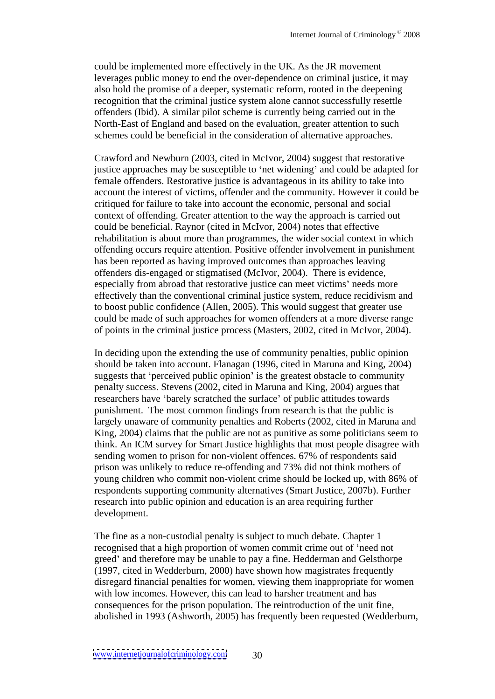could be implemented more effectively in the UK. As the JR movement leverages public money to end the over-dependence on criminal justice, it may also hold the promise of a deeper, systematic reform, rooted in the deepening recognition that the criminal justice system alone cannot successfully resettle offenders (Ibid). A similar pilot scheme is currently being carried out in the North-East of England and based on the evaluation, greater attention to such schemes could be beneficial in the consideration of alternative approaches.

Crawford and Newburn (2003, cited in McIvor, 2004) suggest that restorative justice approaches may be susceptible to 'net widening' and could be adapted for female offenders. Restorative justice is advantageous in its ability to take into account the interest of victims, offender and the community. However it could be critiqued for failure to take into account the economic, personal and social context of offending. Greater attention to the way the approach is carried out could be beneficial. Raynor (cited in McIvor, 2004) notes that effective rehabilitation is about more than programmes, the wider social context in which offending occurs require attention. Positive offender involvement in punishment has been reported as having improved outcomes than approaches leaving offenders dis-engaged or stigmatised (McIvor, 2004). There is evidence, especially from abroad that restorative justice can meet victims' needs more effectively than the conventional criminal justice system, reduce recidivism and to boost public confidence (Allen, 2005). This would suggest that greater use could be made of such approaches for women offenders at a more diverse range of points in the criminal justice process (Masters, 2002, cited in McIvor, 2004).

In deciding upon the extending the use of community penalties, public opinion should be taken into account. Flanagan (1996, cited in Maruna and King, 2004) suggests that 'perceived public opinion' is the greatest obstacle to community penalty success. Stevens (2002, cited in Maruna and King, 2004) argues that researchers have 'barely scratched the surface' of public attitudes towards punishment. The most common findings from research is that the public is largely unaware of community penalties and Roberts (2002, cited in Maruna and King, 2004) claims that the public are not as punitive as some politicians seem to think. An ICM survey for Smart Justice highlights that most people disagree with sending women to prison for non-violent offences. 67% of respondents said prison was unlikely to reduce re-offending and 73% did not think mothers of young children who commit non-violent crime should be locked up, with 86% of respondents supporting community alternatives (Smart Justice, 2007b). Further research into public opinion and education is an area requiring further development.

The fine as a non-custodial penalty is subject to much debate. Chapter 1 recognised that a high proportion of women commit crime out of 'need not greed' and therefore may be unable to pay a fine. Hedderman and Gelsthorpe (1997, cited in Wedderburn, 2000) have shown how magistrates frequently disregard financial penalties for women, viewing them inappropriate for women with low incomes. However, this can lead to harsher treatment and has consequences for the prison population. The reintroduction of the unit fine, abolished in 1993 (Ashworth, 2005) has frequently been requested (Wedderburn,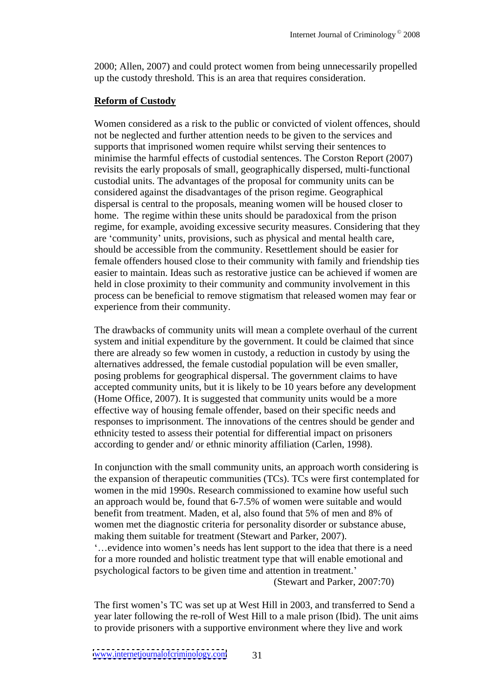2000; Allen, 2007) and could protect women from being unnecessarily propelled up the custody threshold. This is an area that requires consideration.

#### **Reform of Custody**

Women considered as a risk to the public or convicted of violent offences, should not be neglected and further attention needs to be given to the services and supports that imprisoned women require whilst serving their sentences to minimise the harmful effects of custodial sentences. The Corston Report (2007) revisits the early proposals of small, geographically dispersed, multi-functional custodial units. The advantages of the proposal for community units can be considered against the disadvantages of the prison regime. Geographical dispersal is central to the proposals, meaning women will be housed closer to home. The regime within these units should be paradoxical from the prison regime, for example, avoiding excessive security measures. Considering that they are 'community' units, provisions, such as physical and mental health care, should be accessible from the community. Resettlement should be easier for female offenders housed close to their community with family and friendship ties easier to maintain. Ideas such as restorative justice can be achieved if women are held in close proximity to their community and community involvement in this process can be beneficial to remove stigmatism that released women may fear or experience from their community.

The drawbacks of community units will mean a complete overhaul of the current system and initial expenditure by the government. It could be claimed that since there are already so few women in custody, a reduction in custody by using the alternatives addressed, the female custodial population will be even smaller, posing problems for geographical dispersal. The government claims to have accepted community units, but it is likely to be 10 years before any development (Home Office, 2007). It is suggested that community units would be a more effective way of housing female offender, based on their specific needs and responses to imprisonment. The innovations of the centres should be gender and ethnicity tested to assess their potential for differential impact on prisoners according to gender and/ or ethnic minority affiliation (Carlen,1998).

In conjunction with the small community units, an approach worth considering is the expansion of therapeutic communities (TCs). TCs were first contemplated for women in the mid 1990s. Research commissioned to examine how useful such an approach would be, found that 6-7.5% of women were suitable and would benefit from treatment. Maden, et al, also found that 5% of men and 8% of women met the diagnostic criteria for personality disorder or substance abuse, making them suitable for treatment (Stewart and Parker, 2007). ...evidence into women's needs has lent support to the idea that there is a need for a more rounded and holistic treatment type that will enable emotional and psychological factors to be given time and attention in treatment. (Stewart and Parker, 2007:70)

The first women's TC was set up at West Hill in 2003, and transferred to Send a year later following the re-roll of West Hill to a male prison (Ibid). The unit aims to provide prisoners with a supportive environment where they live and work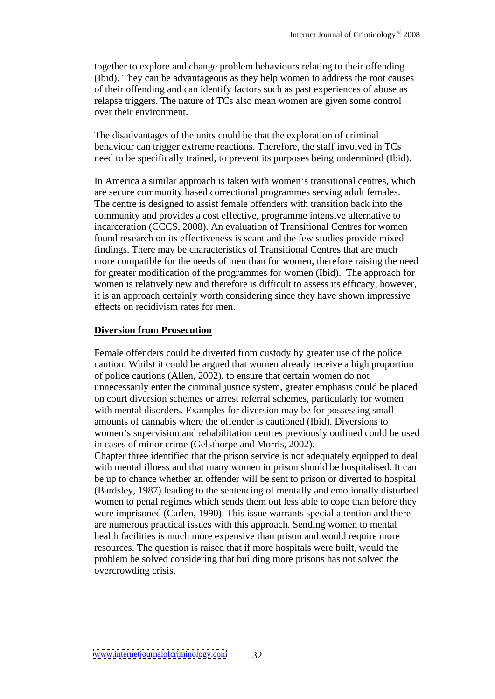together to explore and change problem behaviours relating to their offending (Ibid). They can be advantageous as they help women to address the root causes of their offending and can identify factors such as past experiences of abuse as relapse triggers. The nature of TCs also mean women are given somecontrol over their environment.

The disadvantages of the units could be that the exploration of criminal behaviour can trigger extreme reactions. Therefore, the staff involved in TCs need to be specifically trained, to prevent its purposes being undermined (Ibid).

In America a similar approach is taken with women's transitional centres, which are secure community based correctional programmes serving adult females. The centre is designed to assist female offenders with transition back into the community and provides a cost effective, programme intensive alternative to incarceration (CCCS, 2008). An evaluation of Transitional Centres for women found research on its effectiveness is scant and the few studies provide mixed findings. There may be characteristics of Transitional Centres that are much more compatible for the needs of men than for women, therefore raising the need for greater modification of the programmes for women (Ibid). The approach for women is relatively new and therefore is difficult to assess its efficacy, however, it is an approach certainly worth considering since they have shown impressive effects on recidivism rates for men.

#### **Diversion from Prosecution**

Female offenders could be diverted from custody by greater use of the police caution. Whilst it could be argued that women already receive a high proportion of police cautions (Allen, 2002), to ensure that certain women do not unnecessarily enter the criminal justice system, greater emphasis could be placed on court diversion schemes or arrest referral schemes, particularly for women with mental disorders. Examples for diversion may be for possessing small amounts of cannabis where the offender is cautioned (Ibid). Diversions to women's supervision and rehabilitation centres previously outlined could be used in cases of minor crime (Gelsthorpe and Morris, 2002).

Chapter three identified that the prison service is not adequately equipped to deal with mental illness and that many women in prison should be hospitalised. It can be up to chance whether an offender will be sent to prison or diverted to hospital (Bardsley, 1987) leading to the sentencing of mentally and emotionally disturbed women to penal regimes which sends them out less able to cope than before they were imprisoned (Carlen, 1990). This issue warrants special attention and there are numerous practical issues with this approach. Sending women to mental health facilities is much more expensive than prison and would require more resources. The question is raised that if more hospitals were built, would the problem be solved considering that building more prisons has not solved the overcrowding crisis.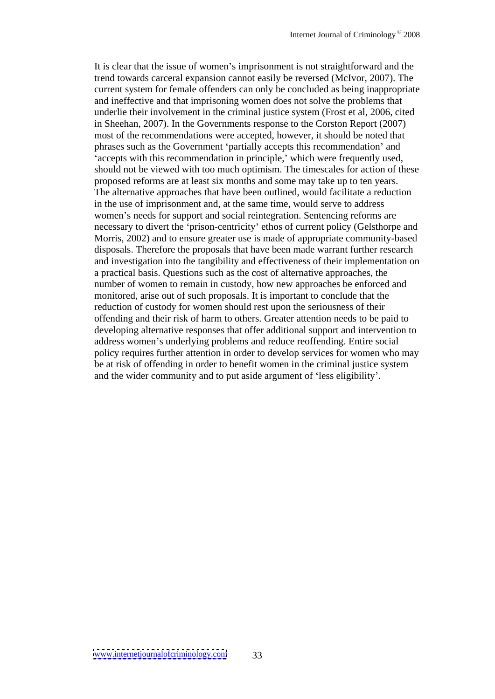It is clear that the issue of women's imprisonment is not straightforward and the trend towards carceral expansion cannot easily be reversed (McIvor, 2007). The current system for female offenders can only be concluded as being inappropriate and ineffective and that imprisoning women does not solve the problems that underlie their involvement in the criminal justice system (Frost et al, 2006, cited in Sheehan, 2007). In the Governments response to the Corston Report (2007) most of the recommendations were accepted, however, it should be noted that phrases such as the Government 'partially accepts this recommendation' and 'accepts with this recommendation in principle,' which were frequently used, should not be viewed with too much optimism. The timescales for action of these proposed reforms are at least six months and some may take up to ten years. The alternative approaches that have been outlined, would facilitate a reduction in the use of imprisonment and, at the same time, would serve to address women's needs for support and social reintegration. Sentencing reforms are necessary to divert the 'prison-centricity' ethos of current policy (Gelsthorpe and Morris, 2002) and to ensure greater use is made of appropriate community-based disposals. Therefore the proposals that have been made warrant further research and investigation into the tangibility and effectiveness of their implementation on a practical basis. Questions such as the cost of alternative approaches, the number of women to remain in custody, how new approaches be enforced and monitored, arise out of such proposals. It is important to conclude that the reduction of custody for women should rest upon the seriousness of their offending and their risk of harm to others. Greater attention needs to be paid to developing alternative responses that offer additional support and intervention to address women's underlying problems and reduce reoffending. Entire social policy requires further attention in order to develop services for women who may be at risk of offending in order to benefit women in the criminal justice system and the wider community and to put aside argument of 'less eligibility'.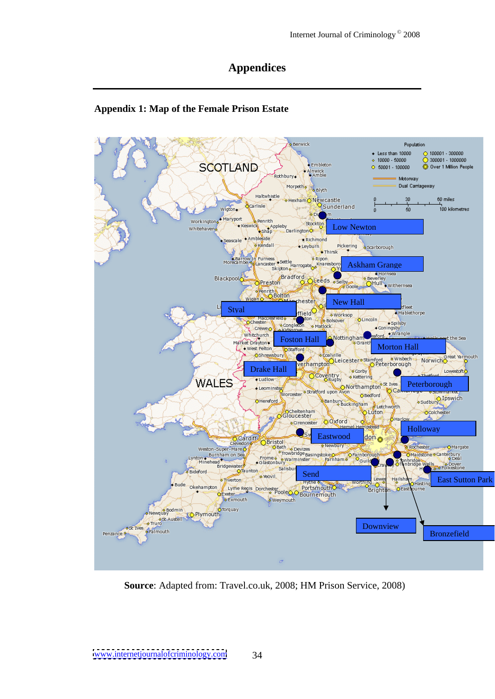## **Appendices**

## **Appendix 1: Map of the Female Prison Estate**



**Source**: Adapted from: Travel.co.uk, 2008; HM Prison Service, 2008)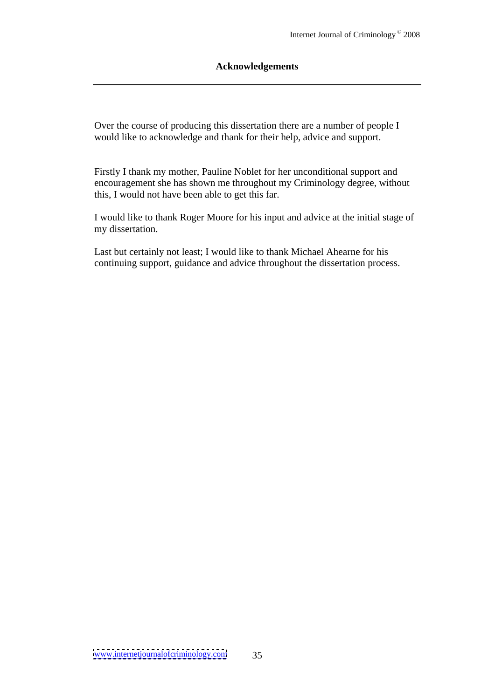#### **Acknowledgements**

Over the course of producing this dissertation there are a number of people I would like to acknowledge and thank for their help, advice and support.

Firstly I thank my mother, Pauline Noblet for her unconditional support and encouragement she has shown me throughout my Criminology degree, without this, I would not have been able to get this far.

I would like to thank Roger Moore for his input and advice at the initial stage of my dissertation.

Last but certainly not least; I would like to thank Michael Ahearne for his continuing support, guidance and advice throughout the dissertation process.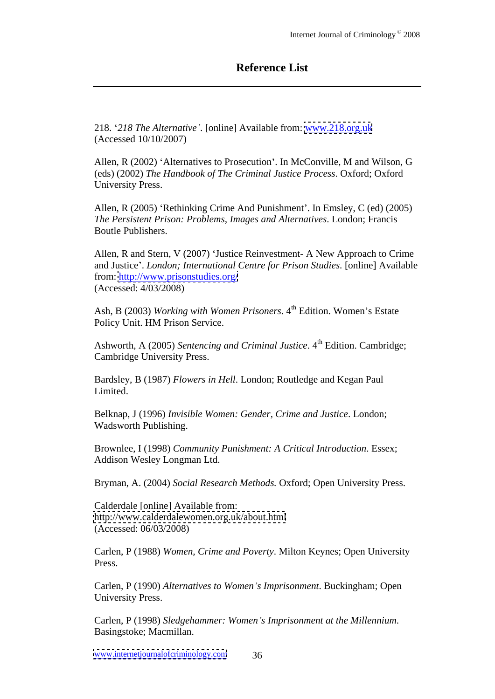## **Reference List**

218. *218 The Alternative* . [online] Available from: [www.218.org.uk](http://www.218.org.uk) (Accessed 10/10/2007)

Allen, R (2002) 'Alternatives to Prosecution'. In McConville, M and Wilson, G (eds) (2002) *The Handbook of The Criminal Justice Process*. Oxford; Oxford University Press.

Allen, R (2005) 'Rethinking Crime And Punishment'. In Emsley, C (ed) (2005) *The Persistent Prison: Problems, Images and Alternatives*. London; Francis Boutle Publishers.

Allen, R and Stern, V (2007) 'Justice Reinvestment- A New Approach to Crime and Justice . *London; International Centre for Prison Studies.* [online] Available from: <http://www.prisonstudies.org/> (Accessed: 4/03/2008)

Ash, B (2003) *Working with Women Prisoners*. 4<sup>th</sup> Edition. Women's Estate Policy Unit. HM Prison Service.

Ashworth, A (2005) *Sentencing and Criminal Justice*. 4 <sup>th</sup> Edition. Cambridge; Cambridge University Press.

Bardsley, B (1987) *Flowers in Hell*. London; Routledge and Kegan Paul Limited.

Belknap, J (1996) *Invisible Women: Gender, Crime and Justice*. London; Wadsworth Publishing.

Brownlee, I (1998) *Community Punishment: A Critical Introduction*. Essex; Addison Wesley Longman Ltd.

Bryman, A. (2004) *Social Research Methods.* Oxford; Open University Press.

Calderdale [online] Available from: <http://www.calderdalewomen.org.uk/about.html> (Accessed: 06/03/2008)

Carlen, P (1988) *Women, Crime and Poverty*. Milton Keynes; Open University Press.

Carlen, P (1990) *Alternatives to Women s Imprisonment*. Buckingham; Open University Press.

Carlen, P (1998) *Sledgehammer: Women s Imprisonment at the Millennium*. Basingstoke; Macmillan.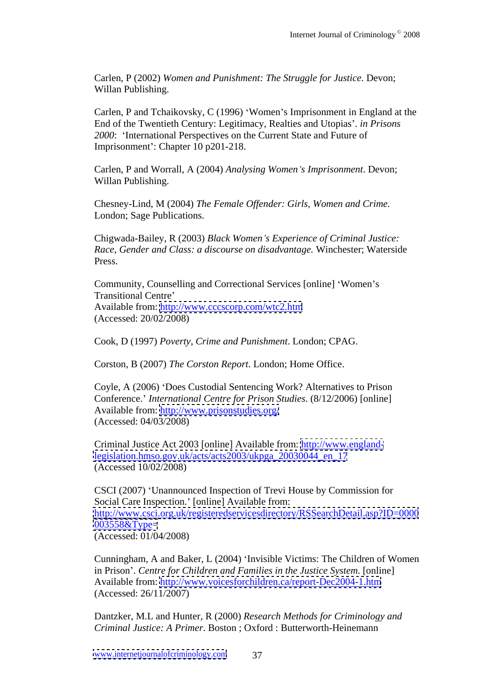Carlen, P (2002) *Women and Punishment: The Struggle for Justice*. Devon; Willan Publishing.

Carlen, P and Tchaikovsky, C (1996) 'Women's Imprisonment in England at the End of the Twentieth Century: Legitimacy, Realties and Utopias . *in Prisons 2000*: International Perspectives on the Current State and Future of Imprisonment': Chapter 10 p201-218.

Carlen, P and Worrall, A (2004) *Analysing Women s Imprisonment*. Devon; Willan Publishing.

Chesney-Lind, M (2004) *The Female Of ender: Girls, Women and Crime.* London; Sage Publications.

Chigwada-Bailey, R (2003) *Black Women s Experience of Criminal Justice: Race, Gender and Class: a discourse on disadvantage.* Winchester; Waterside Press.

Community, Counselling and Correctional Services [online] 'Women's Transitional Centre Available from: <http://www.cccscorp.com/wtc2.htm> (Accessed: 20/02/2008)

Cook, D (1997) *Poverty, Crime and Punishment*. London; CPAG.

Corston, B (2007) *The Corston Report*. London; Home Office.

Coyle, A (2006) 'Does Custodial Sentencing Work? Alternatives to Prison Conference. *International Centre for Prison Studies*. (8/12/2006) [online] Available from: <http://www.prisonstudies.org/> (Accessed: 04/03/2008)

Criminal Justice Act 2003 [online] Available from: [http://www.england](http://www.england-)[legislation.hmso.gov.uk/acts/acts2003/ukpga\\_20030044\\_en\\_17](legislation.hmso.gov.uk/acts/acts2003/ukpga_20030044_en_17) (Accessed 10/02/2008)

CSCI (2007) Unannounced Inspection of Trevi House by Commission for Social Care Inspection.' [online] Available from: <http://www.csci.org.uk/registeredservicesdirectory/RSSearchDetail.asp?ID=0000>  $0.03558 \& \text{Type}$ (Accessed: 01/04/2008)

Cunningham, A and Baker, L (2004) Invisible Victims: The Children of Women in Prison . *Centre for Children and Families in the Justice System*. [online] Available from: <http://www.voicesforchildren.ca/report-Dec2004-1.htm> (Accessed: 26/11/2007)

Dantzker, M.L and Hunter, R (2000) *Research Methods for Criminology and Criminal Justice: A Primer*. Boston ; Oxford : Butterworth-Heinemann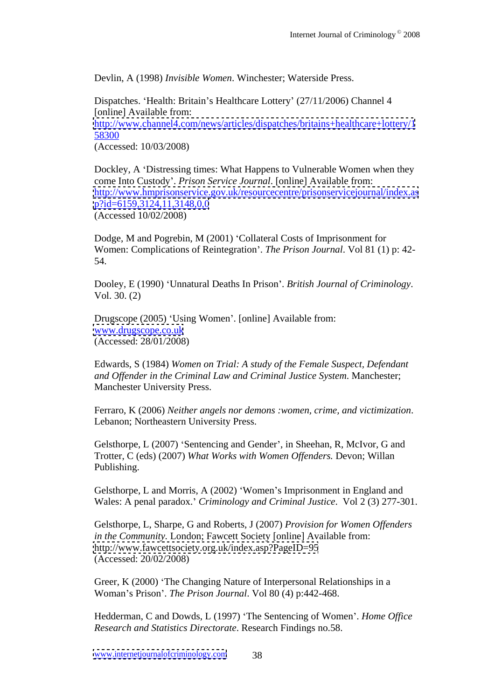Devlin, A (1998) *Invisible Women*. Winchester; Waterside Press.

Dispatches. 'Health: Britain's Healthcare Lottery' (27/11/2006) Channel 4 [online] Available from: <http://www.channel4.com/news/articles/dispatches/britains+healthcare+lottery/1> **58300** *S* (Accessed: 10/03/2008)

Dockley, A 'Distressing times: What Happens to Vulnerable Women when they come Into Custody . *Prison Service Journal*. [online] Available from: <http://www.hmprisonservice.gov.uk/resourcecentre/prisonservicejournal/index.as> <p?id=6159,3124,11,3148,0,0> (Accessed 10/02/2008)

Dodge, M and Pogrebin, M (2001) 'Collateral Costs of Imprisonment for Women: Complications of Reintegration . *The Prison Journal*. Vol 81 (1) p: 42- 54.

Dooley, E (1990) Unnatural Deaths In Prison . *British Journal of Criminology*. Vol. 30. (2)

Drugscope (2005) 'Using Women'. [online] Available from: [www.drugscope.co.uk](http://www.drugscope.co.uk) (Accessed: 28/01/2008)

Edwards, S (1984) *Women on Trial: A study of the FemaleSuspect, Defendant and Of ender in the Criminal Law and Criminal Justice System*. Manchester; Manchester University Press.

Ferraro, K (2006) *Neither angels nor demons :women, crime, and victimization*. Lebanon; Northeastern University Press.

Gelsthorpe, L (2007) 'Sentencing and Gender', in Sheehan, R, McIvor, G and Trotter, C (eds) (2007) *What Works with Women Of enders.* Devon; Willan Publishing.

Gelsthorpe, L and Morris, A (2002) 'Women's Imprisonment in England and Wales: A penal paradox. *Criminology and Criminal Justice*. Vol 2 (3) 277-301.

Gelsthorpe, L, Sharpe, G and Roberts, J (2007) *Provision for Women Offenders in the Community.* London; Fawcett Society [online] Available from: <http://www.fawcettsociety.org.uk/index.asp?PageID=95> (Accessed: 20/02/2008)

Greer, K (2000) 'The Changing Nature of Interpersonal Relationships in a Woman s Prison . *The Prison Journal*. Vol 80 (4) p:442-468.

Hedderman, C and Dowds, L (1997) 'The Sentencing of Women'. *Home Office Research and Statistics Directorate*. Research Findings no.58.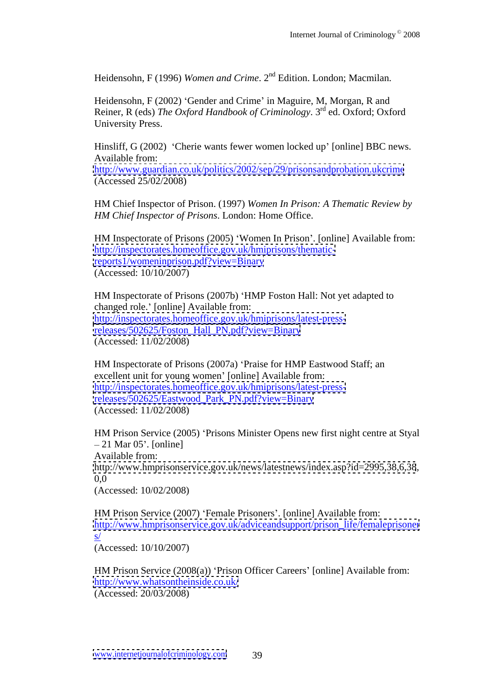Heidensohn, F (1996) *Women and Crime*. 2<sup>nd</sup> Edition. London; Macmilan.

Heidensohn, F (2002) 'Gender and Crime' in Maguire, M, Morgan, R and Reiner, R (eds) *The Oxford Handbook of Criminology*. 3 rd ed. Oxford; Oxford University Press.

Hinsliff, G (2002) 'Cherie wants fewer women locked up' [online] BBC news. Available from:  $\blacksquare$ 

<http://www.guardian.co.uk/politics/2002/sep/29/prisonsandprobation.ukcrime> (Accessed 25/02/2008)

HM Chief Inspector of Prison. (1997) *Women In Prison: A Thematic Review by HM Chief Inspector of Prisons*. London: Home Office.

HM Inspectorate of Prisons (2005) 'Women In Prison'. [online] Available from: [http://inspectorates.homeoffice.gov.uk/hmiprisons/thematic](http://inspectorates.homeoffice.gov.uk/hmiprisons/thematic-)<reports1/womeninprison.pdf?view=Binary> (Accessed: 10/10/2007)

HM Inspectorate of Prisons (2007b) 'HMP Foston Hall: Not yet adapted to changed role.' [online] Available from: [http://inspectorates.homeoffice.gov.uk/hmiprisons/latest-press](http://inspectorates.homeoffice.gov.uk/hmiprisons/latest-press-)[releases/502625/Foston\\_Hall\\_PN.pdf?view=Binary](releases/502625/Foston_Hall_PN.pdf?view=Binary) (Accessed: 11/02/2008)

HM Inspectorate of Prisons (2007a) 'Praise for HMP Eastwood Staff; an excellent unit for young women' [online] Available from: [http://inspectorates.homeoffice.gov.uk/hmiprisons/latest-press](http://inspectorates.homeoffice.gov.uk/hmiprisons/latest-press-)[releases/502625/Eastwood\\_Park\\_PN.pdf?view=Binary](releases/502625/Eastwood_Park_PN.pdf?view=Binary) (Accessed: 11/02/2008)

HM Prison Service (2005) 'Prisons Minister Opens new first night centre at Styal 21 Mar 05 . [online] Available from:  $\blacksquare$ <http://www.hmprisonservice.gov.uk/news/latestnews/index.asp?id=2995,38,6,38>, 0,0 (Accessed: 10/02/2008)

HM Prison Service (2007) 'Female Prisoners'. [online] Available from: [http://www.hmprisonservice.gov.uk/adviceandsupport/prison\\_life/femaleprisoner](http://www.hmprisonservice.gov.uk/adviceandsupport/prison_life/femaleprisoner)  $s/$ (Accessed: 10/10/2007)

HM Prison Service  $(2008(a))$  'Prison Officer Careers' [online] Available from: <http://www.whatsontheinside.co.uk/> (Accessed: 20/03/2008)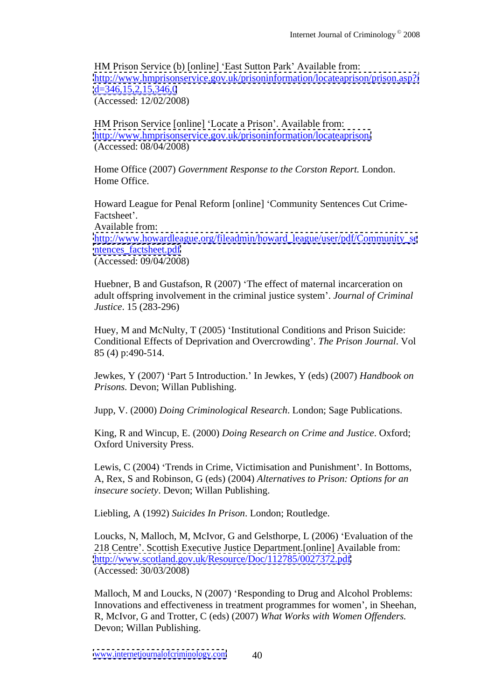HM Prison Service (b) [online] 'East Sutton Park' Available from: <http://www.hmprisonservice.gov.uk/prisoninformation/locateaprison/prison.asp?i>  $d=346,15,2,15,346,0$ (Accessed: 12/02/2008)

HM Prison Service [online] 'Locate a Prison'. Available from: <http://www.hmprisonservice.gov.uk/prisoninformation/locateaprison/> (Accessed: 08/04/2008)

Home Office (2007) *Government Response to the Corston Report.* London. Home Office.

Howard League for Penal Reform [online] 'Community Sentences Cut Crime-Factsheet'. Available from:  $\blacksquare$ [http://www.howardleague.org/fileadmin/howard\\_league/user/pdf/Community\\_se](http://www.howardleague.org/fileadmin/howard_league/user/pdf/Community_se) [ntences\\_factsheet.pdf](ntences_factsheet.pdf) (Accessed: 09/04/2008)

Huebner, B and Gustafson, R (2007) 'The effect of maternal incarceration on adult offspring involvement in the criminal justice system . *Journal of Criminal Justice*. 15 (283-296)

Huey, M and McNulty, T (2005) 'Institutional Conditions and Prison Suicide: Conditional Effects of Deprivation and Overcrowding . *The Prison Journal*. Vol 85 (4) p:490-514.

Jewkes, Y (2007) Part 5 Introduction. In Jewkes, Y (eds) (2007) *Handbook on Prisons.* Devon; Willan Publishing.

Jupp, V. (2000) *Doing Criminological Research*. London; Sage Publications.

King, R and Wincup, E. (2000) *Doing Research on Crime and Justice*. Oxford; Oxford University Press.

Lewis, C (2004) 'Trends in Crime, Victimisation and Punishment'. In Bottoms, A, Rex, S and Robinson, G (eds) (2004) *Alternatives to Prison: Options for an insecure society*. Devon; Willan Publishing.

Liebling, A (1992) *Suicides In Prison*. London; Routledge.

Loucks, N, Malloch, M, McIvor, G and Gelsthorpe, L (2006) 'Evaluation of the 218 Centre . Scottish Executive Justice Department.[online] Available from: <http://www.scotland.gov.uk/Resource/Doc/112785/0027372.pdf> (Accessed: 30/03/2008)

Malloch, M and Loucks, N (2007) 'Responding to Drug and Alcohol Problems: Innovations and effectiveness in treatment programmes for women', in Sheehan, R, McIvor, G and Trotter, C (eds) (2007) *What Works with Women Of enders.* Devon; Willan Publishing.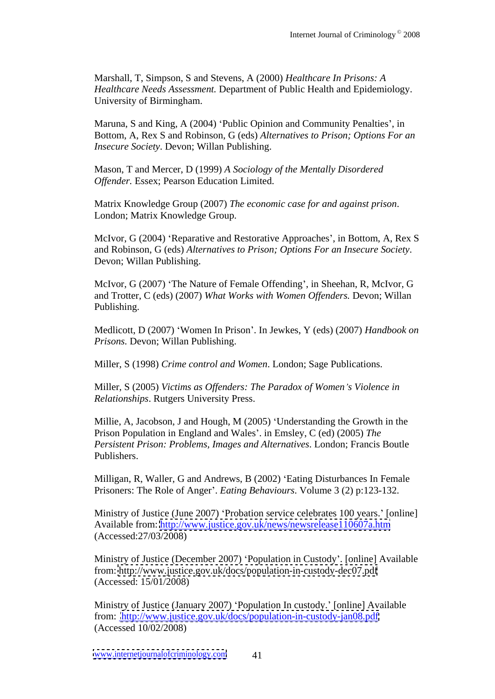Marshall, T, Simpson, S and Stevens, A (2000) *Healthcare In Prisons: A Healthcare Needs Assessment.* Department of Public Health and Epidemiology. University of Birmingham.

Maruna, S and King, A (2004) 'Public Opinion and Community Penalties', in Bottom, A, Rex S and Robinson, G (eds) *Alternatives to Prison; Options For an Insecure Society*. Devon; Willan Publishing.

Mason, T and Mercer, D (1999) *A Sociology of the Mentally Disordered* **Offender.** Essex; Pearson Education Limited.

Matrix Knowledge Group (2007) *The economic case for and against prison*. London; Matrix Knowledge Group.

McIvor, G (2004) 'Reparative and Restorative Approaches', in Bottom, A, Rex S and Robinson, G (eds) *Alternatives to Prison; Options For an Insecure Society*. Devon; Willan Publishing.

McIvor, G (2007) 'The Nature of Female Offending', in Sheehan, R, McIvor, G and Trotter, C (eds) (2007) *What Works with Women Of enders.* Devon; Willan Publishing.

Medlicott, D (2007) Women In Prison . In Jewkes, Y (eds) (2007) *Handbook on Prisons.* Devon; Willan Publishing.

Miller, S (1998) *Crime control and Women*. London; Sage Publications.

Miller, S (2005) *Victims as Of enders: The Paradox of Women s Violence in Relationships*. Rutgers University Press.

Millie, A, Jacobson, J and Hough, M (2005) 'Understanding the Growth in the Prison Population in England and Wales . in Emsley, C (ed) (2005) *The Persistent Prison: Problems, Images and Alternatives*. London; Francis Boutle Publishers.

Milligan, R, Waller, G and Andrews, B (2002) 'Eating Disturbances In Female Prisoners: The Role of Anger'. *Eating Behaviours*. Volume 3 (2) p:123-132.

Ministry of Justice (June 2007) 'Probation service celebrates 100 years.' [online] Available from: <http://www.justice.gov.uk/news/newsrelease110607a.htm> (Accessed:27/03/2008)

Ministry of Justice (December 2007) Population in Custody . [online] Available from: <http://www.justice.gov.uk/docs/population-in-custody-dec07.pdf> (Accessed: 15/01/2008)

Ministry of Justice (January 2007) 'Population In custody.' [online] Available from: <http://www.justice.gov.uk/docs/population-in-custody-jan08.pdf> (Accessed 10/02/2008)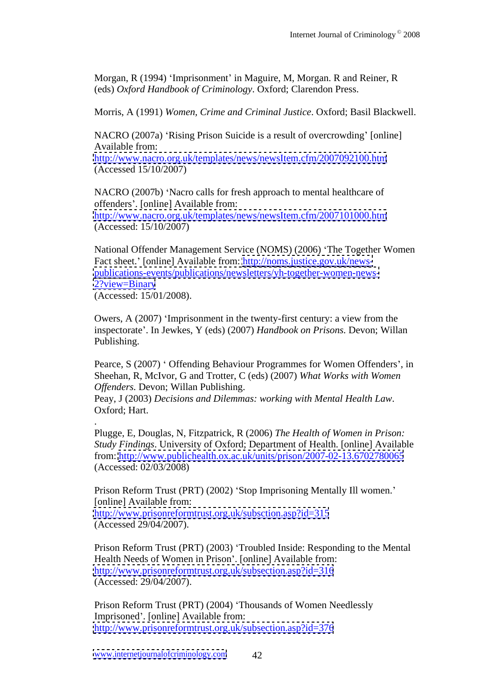Morgan, R (1994) 'Imprisonment' in Maguire, M, Morgan. R and Reiner, R (eds) *Oxford Handbook of Criminology*.Oxford; Clarendon Press.

Morris, A (1991) *Women, Crime and Criminal Justice*. Oxford; Basil Blackwell.

NACRO (2007a) 'Rising Prison Suicide is a result of overcrowding' [online] Available from:  $\blacksquare$ 

<http://www.nacro.org.uk/templates/news/newsItem.cfm/2007092100.htm> (Accessed 15/10/2007)

NACRO (2007b) 'Nacro calls for fresh approach to mental healthcare of offenders . [online] Available from: <http://www.nacro.org.uk/templates/news/newsItem.cfm/2007101000.htm> (Accessed: 15/10/2007)

National Offender Management Service (NOMS) (2006) The Together Women Fact sheet.' [online] Available from: [http://noms.justice.gov.uk/news](http://noms.justice.gov.uk/news-) <publications-events/publications/newsletters/yh-together-women-news-> <2?view=Binary> and the state of the state of the state of the state of the state of the state of the state of the state of the state of the state of the state of the state of the state of the state of the state of the state

(Accessed: 15/01/2008).

Owers, A (2007) Imprisonment in the twenty-first century: a view from the inspectorate . In Jewkes, Y (eds) (2007) *Handbook on Prisons.* Devon; Willan Publishing.

Pearce, S (2007) ' Offending Behaviour Programmes for Women Offenders', in Sheehan, R, McIvor, G and Trotter, C (eds) (2007) *What Works with Women Of enders.* Devon; Willan Publishing.

Peay, J (2003) *Decisions and Dilemmas: working with Mental Health Law*. Oxford; Hart.

.Plugge, E, Douglas, N, Fitzpatrick, <sup>R</sup> (2006) *The Health of Women in Prison: Study Findings*. University of Oxford; Department of Health. [online] Available from: <http://www.publichealth.ox.ac.uk/units/prison/2007-02-13.6702780065> (Accessed: 02/03/2008)

Prison Reform Trust (PRT) (2002) 'Stop Imprisoning Mentally Ill women.' [online] Available from: <http://www.prisonreformtrust.org.uk/subsction.asp?id=315> (Accessed 29/04/2007).

Prison Reform Trust (PRT) (2003) 'Troubled Inside: Responding to the Mental Health Needs of Women in Prison'. [online] Available from: <http://www.prisonreformtrust.org.uk/subsection.asp?id=316> (Accessed: 29/04/2007).

Prison Reform Trust (PRT) (2004) 'Thousands of Women Needlessly Imprisoned'. [online] Available from: <http://www.prisonreformtrust.org.uk/subsection.asp?id=376>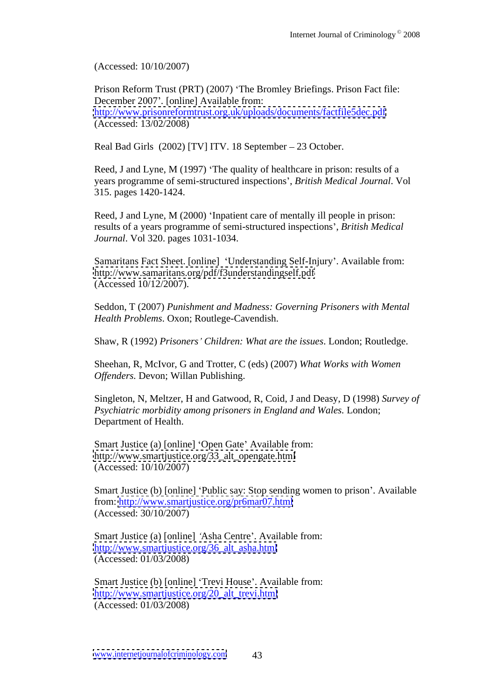(Accessed: 10/10/2007)

Prison Reform Trust (PRT) (2007) The Bromley Briefings. Prison Fact file: December 2007'. [online] Available from: <http://www.prisonreformtrust.org.uk/uploads/documents/factfile5dec.pdf> (Accessed: 13/02/2008)

Real Bad Girls (2002) [TV] ITV. 18 September - 23 October.

Reed, J and Lyne, M (1997) 'The quality of healthcare in prison: results of a years programme of semi-structured inspections , *British Medical Journal*. Vol 315. pages 1420-1424.

Reed, J and Lyne, M (2000) 'Inpatient care of mentally ill people in prison: results of a years programme of semi-structured inspections , *British Medical Journal*. Vol 320. pages 1031-1034.

Samaritans Fact Sheet. [online] 'Understanding Self-Injury'. Available from: <http://www.samaritans.org/pdf/f3understandingself.pdf> (Accessed 10/12/2007).

Seddon, T (2007) *Punishment and Madness: Governing Prisoners with Mental Health Problems*. Oxon; Routlege-Cavendish.

Shaw, R (1992) *Prisoners Children: What are the issues*. London; Routledge.

Sheehan, R, McIvor, G and Trotter, C (eds) (2007) *What Works with Women Of enders.* Devon; Willan Publishing.

Singleton, N, Meltzer, H and Gatwood, R, Coid, J and Deasy, D (1998) *Survey of Psychiatric morbidity among prisoners in England and Wales.* London; Department of Health.

Smart Justice (a) [online] 'Open Gate' Available from: [http://www.smartjustice.org/33\\_alt\\_opengate.html](http://www.smartjustice.org/33_alt_opengate.html) (Accessed: 10/10/2007)

Smart Justice (b) [online] 'Public say: Stop sending women to prison'. Available from: <http://www.smartjustice.org/pr6mar07.html> (Accessed: 30/10/2007)

Smart Justice (a) [online] 'Asha Centre'. Available from: [http://www.smartjustice.org/36\\_alt\\_asha.html](http://www.smartjustice.org/36_alt_asha.html) (Accessed: 01/03/2008)

Smart Justice (b) [online] 'Trevi House'. Available from: [http://www.smartjustice.org/20\\_alt\\_trevi.html](http://www.smartjustice.org/20_alt_trevi.html) (Accessed: 01/03/2008)